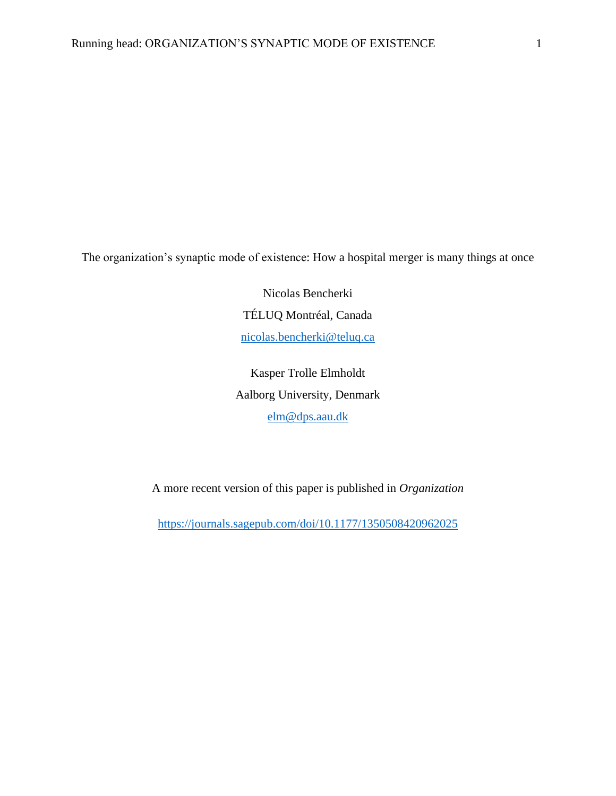The organization's synaptic mode of existence: How a hospital merger is many things at once

Nicolas Bencherki TÉLUQ Montréal, Canada [nicolas.bencherki@teluq.ca](mailto:nicolas.bencherki@teluq.ca)

Kasper Trolle Elmholdt Aalborg University, Denmark [elm@dps.aau.dk](mailto:elm@dps.aau.dk)

A more recent version of this paper is published in *Organization*

<https://journals.sagepub.com/doi/10.1177/1350508420962025>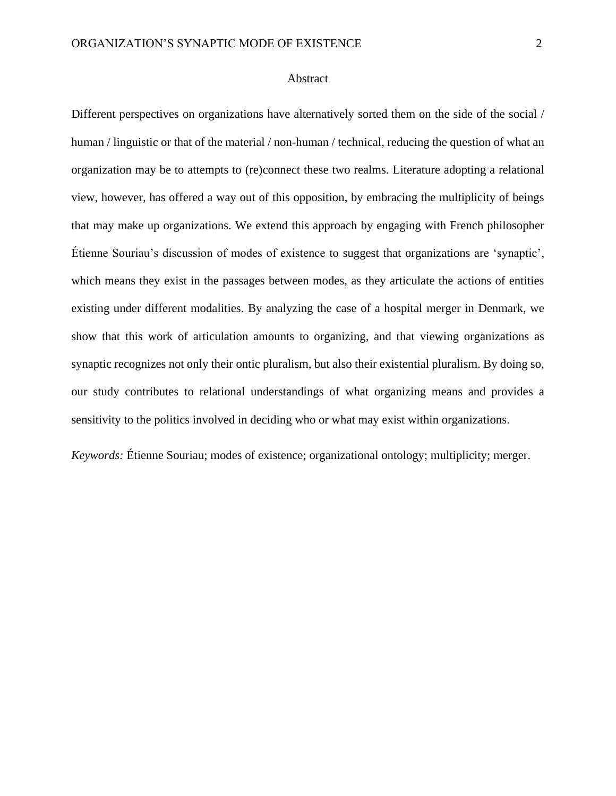### Abstract

Different perspectives on organizations have alternatively sorted them on the side of the social / human / linguistic or that of the material / non-human / technical, reducing the question of what an organization may be to attempts to (re)connect these two realms. Literature adopting a relational view, however, has offered a way out of this opposition, by embracing the multiplicity of beings that may make up organizations. We extend this approach by engaging with French philosopher Étienne Souriau's discussion of modes of existence to suggest that organizations are 'synaptic', which means they exist in the passages between modes, as they articulate the actions of entities existing under different modalities. By analyzing the case of a hospital merger in Denmark, we show that this work of articulation amounts to organizing, and that viewing organizations as synaptic recognizes not only their ontic pluralism, but also their existential pluralism. By doing so, our study contributes to relational understandings of what organizing means and provides a sensitivity to the politics involved in deciding who or what may exist within organizations.

*Keywords:* Étienne Souriau; modes of existence; organizational ontology; multiplicity; merger.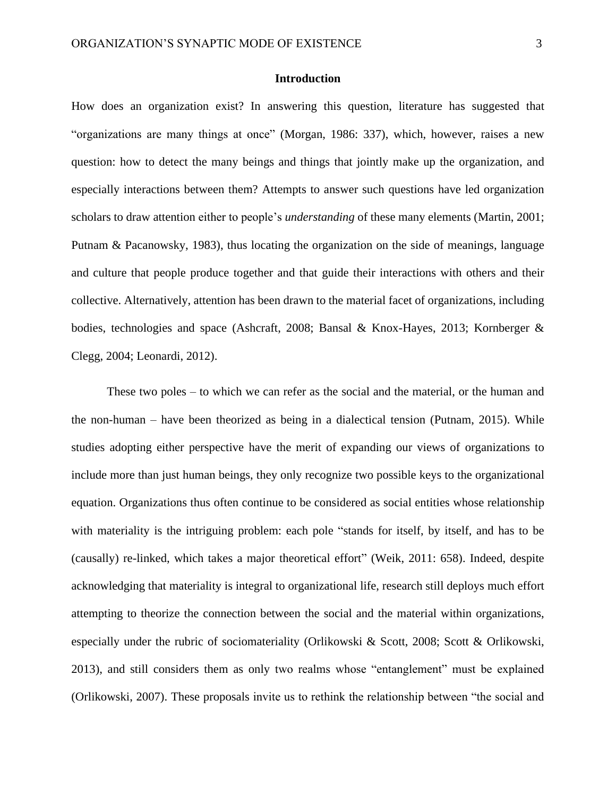# **Introduction**

How does an organization exist? In answering this question, literature has suggested that "organizations are many things at once" (Morgan, 1986: 337), which, however, raises a new question: how to detect the many beings and things that jointly make up the organization, and especially interactions between them? Attempts to answer such questions have led organization scholars to draw attention either to people's *understanding* of these many elements (Martin, 2001; Putnam & Pacanowsky, 1983), thus locating the organization on the side of meanings, language and culture that people produce together and that guide their interactions with others and their collective. Alternatively, attention has been drawn to the material facet of organizations, including bodies, technologies and space (Ashcraft, 2008; Bansal & Knox-Hayes, 2013; Kornberger & Clegg, 2004; Leonardi, 2012).

These two poles – to which we can refer as the social and the material, or the human and the non-human – have been theorized as being in a dialectical tension (Putnam, 2015). While studies adopting either perspective have the merit of expanding our views of organizations to include more than just human beings, they only recognize two possible keys to the organizational equation. Organizations thus often continue to be considered as social entities whose relationship with materiality is the intriguing problem: each pole "stands for itself, by itself, and has to be (causally) re-linked, which takes a major theoretical effort" (Weik, 2011: 658). Indeed, despite acknowledging that materiality is integral to organizational life, research still deploys much effort attempting to theorize the connection between the social and the material within organizations, especially under the rubric of sociomateriality (Orlikowski & Scott, 2008; Scott & Orlikowski, 2013), and still considers them as only two realms whose "entanglement" must be explained (Orlikowski, 2007). These proposals invite us to rethink the relationship between "the social and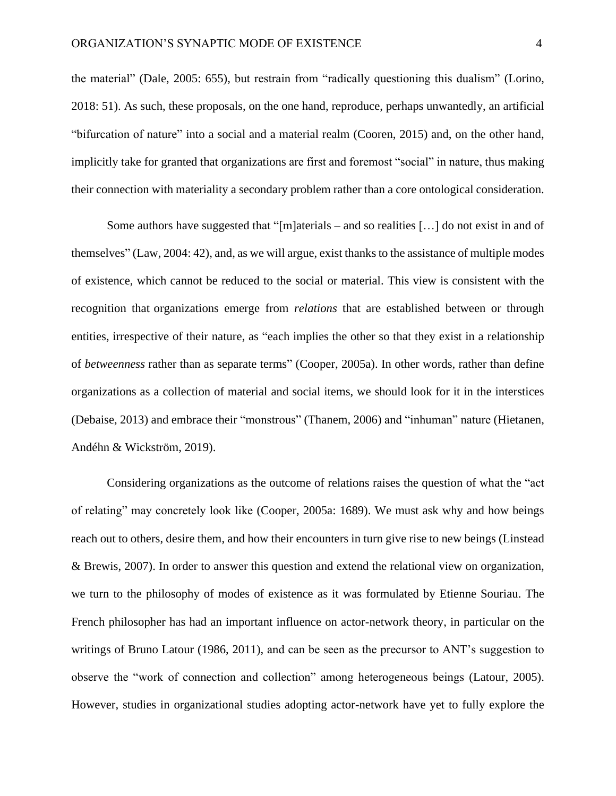the material" (Dale, 2005: 655), but restrain from "radically questioning this dualism" (Lorino, 2018: 51). As such, these proposals, on the one hand, reproduce, perhaps unwantedly, an artificial "bifurcation of nature" into a social and a material realm (Cooren, 2015) and, on the other hand, implicitly take for granted that organizations are first and foremost "social" in nature, thus making their connection with materiality a secondary problem rather than a core ontological consideration.

Some authors have suggested that "[m]aterials – and so realities […] do not exist in and of themselves" (Law, 2004: 42), and, as we will argue, exist thanks to the assistance of multiple modes of existence, which cannot be reduced to the social or material. This view is consistent with the recognition that organizations emerge from *relations* that are established between or through entities, irrespective of their nature, as "each implies the other so that they exist in a relationship of *betweenness* rather than as separate terms" (Cooper, 2005a). In other words, rather than define organizations as a collection of material and social items, we should look for it in the interstices (Debaise, 2013) and embrace their "monstrous" (Thanem, 2006) and "inhuman" nature (Hietanen, Andéhn & Wickström, 2019).

Considering organizations as the outcome of relations raises the question of what the "act of relating" may concretely look like (Cooper, 2005a: 1689). We must ask why and how beings reach out to others, desire them, and how their encounters in turn give rise to new beings (Linstead & Brewis, 2007). In order to answer this question and extend the relational view on organization, we turn to the philosophy of modes of existence as it was formulated by Etienne Souriau. The French philosopher has had an important influence on actor-network theory, in particular on the writings of Bruno Latour (1986, 2011), and can be seen as the precursor to ANT's suggestion to observe the "work of connection and collection" among heterogeneous beings (Latour, 2005). However, studies in organizational studies adopting actor-network have yet to fully explore the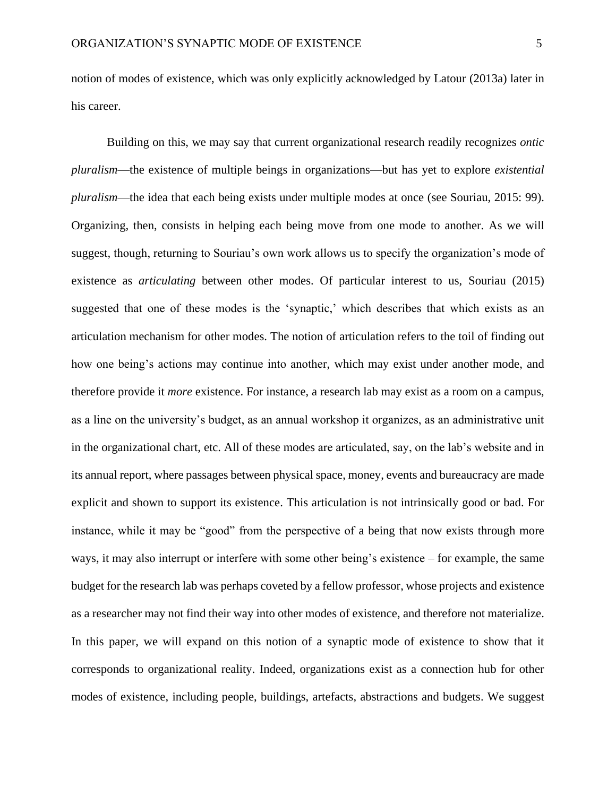notion of modes of existence, which was only explicitly acknowledged by Latour (2013a) later in his career.

Building on this, we may say that current organizational research readily recognizes *ontic pluralism*—the existence of multiple beings in organizations—but has yet to explore *existential pluralism*—the idea that each being exists under multiple modes at once (see Souriau, 2015: 99). Organizing, then, consists in helping each being move from one mode to another. As we will suggest, though, returning to Souriau's own work allows us to specify the organization's mode of existence as *articulating* between other modes. Of particular interest to us, Souriau (2015) suggested that one of these modes is the 'synaptic,' which describes that which exists as an articulation mechanism for other modes. The notion of articulation refers to the toil of finding out how one being's actions may continue into another, which may exist under another mode, and therefore provide it *more* existence. For instance, a research lab may exist as a room on a campus, as a line on the university's budget, as an annual workshop it organizes, as an administrative unit in the organizational chart, etc. All of these modes are articulated, say, on the lab's website and in its annual report, where passages between physical space, money, events and bureaucracy are made explicit and shown to support its existence. This articulation is not intrinsically good or bad. For instance, while it may be "good" from the perspective of a being that now exists through more ways, it may also interrupt or interfere with some other being's existence – for example, the same budget for the research lab was perhaps coveted by a fellow professor, whose projects and existence as a researcher may not find their way into other modes of existence, and therefore not materialize. In this paper, we will expand on this notion of a synaptic mode of existence to show that it corresponds to organizational reality. Indeed, organizations exist as a connection hub for other modes of existence, including people, buildings, artefacts, abstractions and budgets. We suggest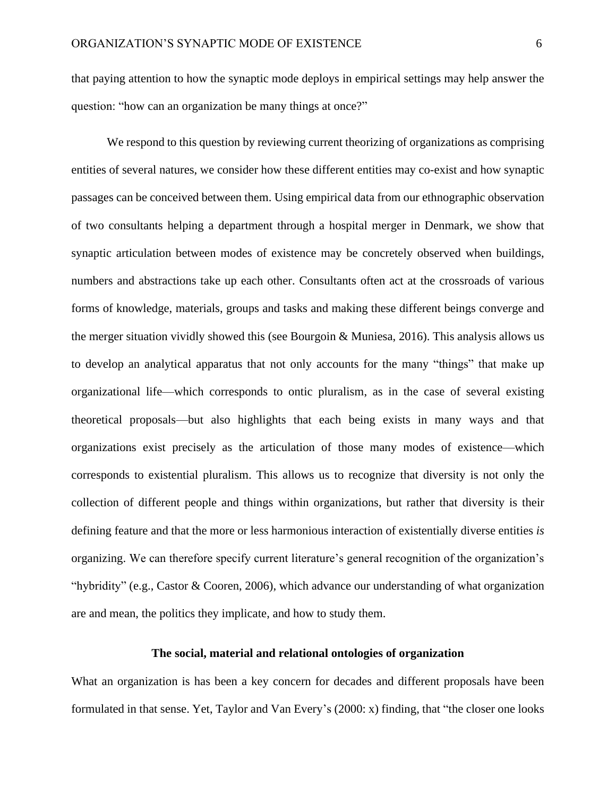that paying attention to how the synaptic mode deploys in empirical settings may help answer the question: "how can an organization be many things at once?"

We respond to this question by reviewing current theorizing of organizations as comprising entities of several natures, we consider how these different entities may co-exist and how synaptic passages can be conceived between them. Using empirical data from our ethnographic observation of two consultants helping a department through a hospital merger in Denmark, we show that synaptic articulation between modes of existence may be concretely observed when buildings, numbers and abstractions take up each other. Consultants often act at the crossroads of various forms of knowledge, materials, groups and tasks and making these different beings converge and the merger situation vividly showed this (see Bourgoin & Muniesa, 2016). This analysis allows us to develop an analytical apparatus that not only accounts for the many "things" that make up organizational life—which corresponds to ontic pluralism, as in the case of several existing theoretical proposals—but also highlights that each being exists in many ways and that organizations exist precisely as the articulation of those many modes of existence—which corresponds to existential pluralism. This allows us to recognize that diversity is not only the collection of different people and things within organizations, but rather that diversity is their defining feature and that the more or less harmonious interaction of existentially diverse entities *is*  organizing. We can therefore specify current literature's general recognition of the organization's "hybridity" (e.g., Castor & Cooren, 2006), which advance our understanding of what organization are and mean, the politics they implicate, and how to study them.

# **The social, material and relational ontologies of organization**

What an organization is has been a key concern for decades and different proposals have been formulated in that sense. Yet, Taylor and Van Every's (2000: x) finding, that "the closer one looks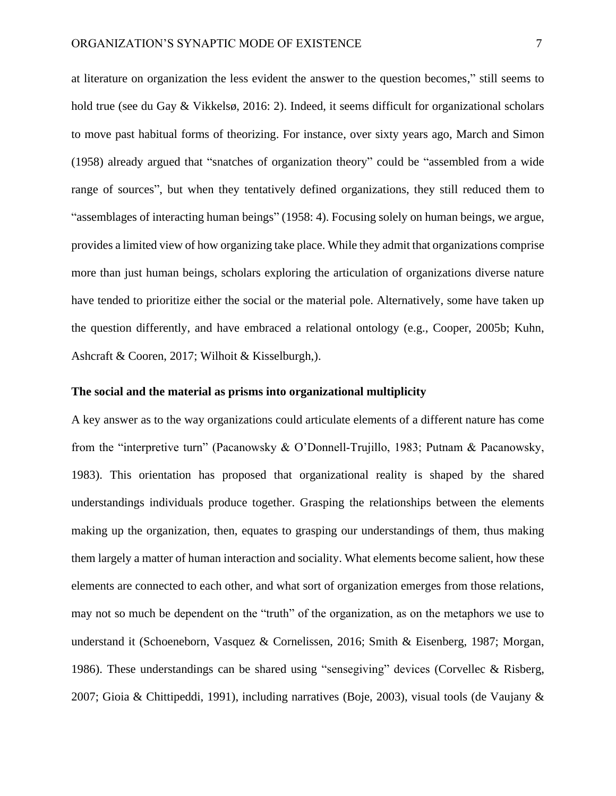at literature on organization the less evident the answer to the question becomes," still seems to hold true (see du Gay & Vikkelsø, 2016: 2). Indeed, it seems difficult for organizational scholars to move past habitual forms of theorizing. For instance, over sixty years ago, March and Simon (1958) already argued that "snatches of organization theory" could be "assembled from a wide range of sources", but when they tentatively defined organizations, they still reduced them to "assemblages of interacting human beings" (1958: 4). Focusing solely on human beings, we argue, provides a limited view of how organizing take place. While they admit that organizations comprise more than just human beings, scholars exploring the articulation of organizations diverse nature have tended to prioritize either the social or the material pole. Alternatively, some have taken up the question differently, and have embraced a relational ontology (e.g., Cooper, 2005b; Kuhn, Ashcraft & Cooren, 2017; Wilhoit & Kisselburgh,).

## **The social and the material as prisms into organizational multiplicity**

A key answer as to the way organizations could articulate elements of a different nature has come from the "interpretive turn" (Pacanowsky & O'Donnell-Trujillo, 1983; Putnam & Pacanowsky, 1983). This orientation has proposed that organizational reality is shaped by the shared understandings individuals produce together. Grasping the relationships between the elements making up the organization, then, equates to grasping our understandings of them, thus making them largely a matter of human interaction and sociality. What elements become salient, how these elements are connected to each other, and what sort of organization emerges from those relations, may not so much be dependent on the "truth" of the organization, as on the metaphors we use to understand it (Schoeneborn, Vasquez & Cornelissen, 2016; Smith & Eisenberg, 1987; Morgan, 1986). These understandings can be shared using "sensegiving" devices (Corvellec & Risberg, 2007; Gioia & Chittipeddi, 1991), including narratives (Boje, 2003), visual tools (de Vaujany &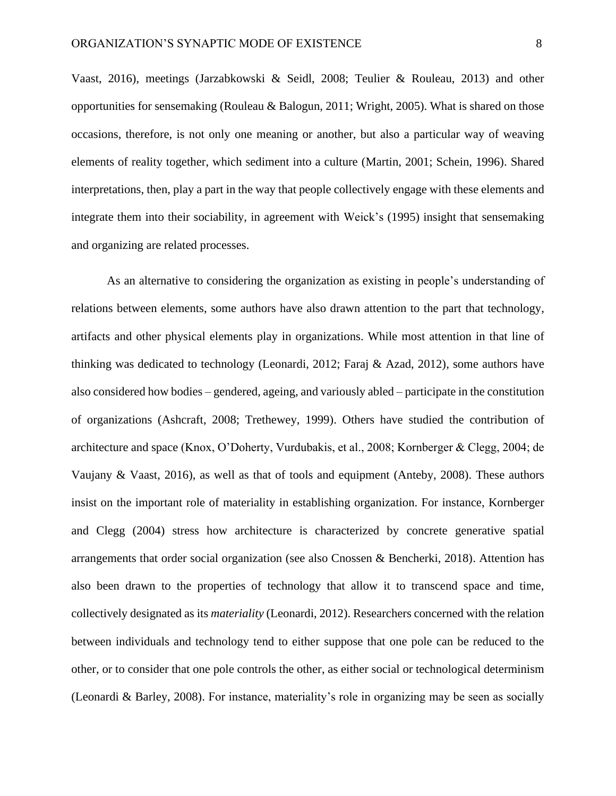Vaast, 2016), meetings (Jarzabkowski & Seidl, 2008; Teulier & Rouleau, 2013) and other opportunities for sensemaking (Rouleau & Balogun, 2011; Wright, 2005). What is shared on those occasions, therefore, is not only one meaning or another, but also a particular way of weaving elements of reality together, which sediment into a culture (Martin, 2001; Schein, 1996). Shared interpretations, then, play a part in the way that people collectively engage with these elements and integrate them into their sociability, in agreement with Weick's (1995) insight that sensemaking and organizing are related processes.

As an alternative to considering the organization as existing in people's understanding of relations between elements, some authors have also drawn attention to the part that technology, artifacts and other physical elements play in organizations. While most attention in that line of thinking was dedicated to technology (Leonardi, 2012; Faraj & Azad, 2012), some authors have also considered how bodies – gendered, ageing, and variously abled – participate in the constitution of organizations (Ashcraft, 2008; Trethewey, 1999). Others have studied the contribution of architecture and space (Knox, O'Doherty, Vurdubakis, et al., 2008; Kornberger & Clegg, 2004; de Vaujany & Vaast, 2016), as well as that of tools and equipment (Anteby, 2008). These authors insist on the important role of materiality in establishing organization. For instance, Kornberger and Clegg (2004) stress how architecture is characterized by concrete generative spatial arrangements that order social organization (see also Cnossen & Bencherki, 2018). Attention has also been drawn to the properties of technology that allow it to transcend space and time, collectively designated as its *materiality* (Leonardi, 2012). Researchers concerned with the relation between individuals and technology tend to either suppose that one pole can be reduced to the other, or to consider that one pole controls the other, as either social or technological determinism (Leonardi & Barley, 2008). For instance, materiality's role in organizing may be seen as socially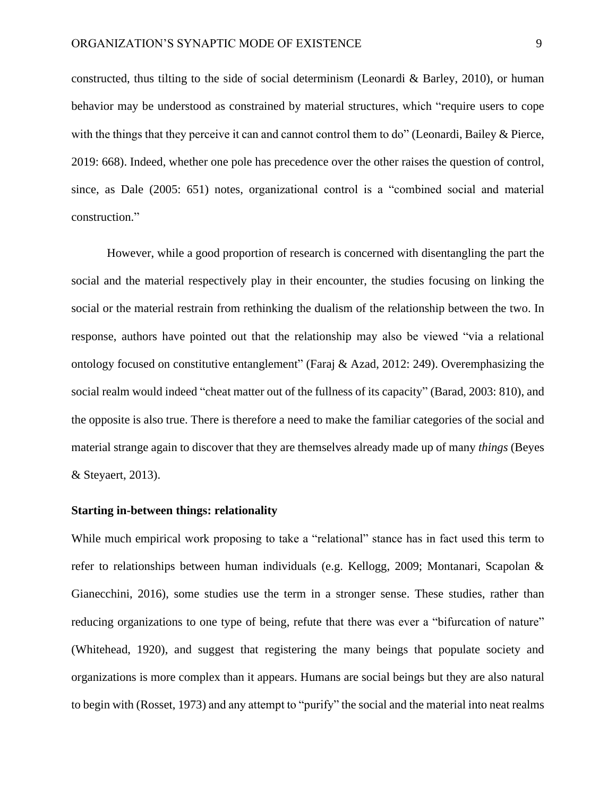constructed, thus tilting to the side of social determinism (Leonardi & Barley, 2010), or human behavior may be understood as constrained by material structures, which "require users to cope with the things that they perceive it can and cannot control them to do" (Leonardi, Bailey & Pierce, 2019: 668). Indeed, whether one pole has precedence over the other raises the question of control, since, as Dale (2005: 651) notes, organizational control is a "combined social and material construction."

However, while a good proportion of research is concerned with disentangling the part the social and the material respectively play in their encounter, the studies focusing on linking the social or the material restrain from rethinking the dualism of the relationship between the two. In response, authors have pointed out that the relationship may also be viewed "via a relational ontology focused on constitutive entanglement" (Faraj & Azad, 2012: 249). Overemphasizing the social realm would indeed "cheat matter out of the fullness of its capacity" (Barad, 2003: 810), and the opposite is also true. There is therefore a need to make the familiar categories of the social and material strange again to discover that they are themselves already made up of many *things* (Beyes & Steyaert, 2013).

## **Starting in-between things: relationality**

While much empirical work proposing to take a "relational" stance has in fact used this term to refer to relationships between human individuals (e.g. Kellogg, 2009; Montanari, Scapolan & Gianecchini, 2016), some studies use the term in a stronger sense. These studies, rather than reducing organizations to one type of being, refute that there was ever a "bifurcation of nature" (Whitehead, 1920), and suggest that registering the many beings that populate society and organizations is more complex than it appears. Humans are social beings but they are also natural to begin with (Rosset, 1973) and any attempt to "purify" the social and the material into neat realms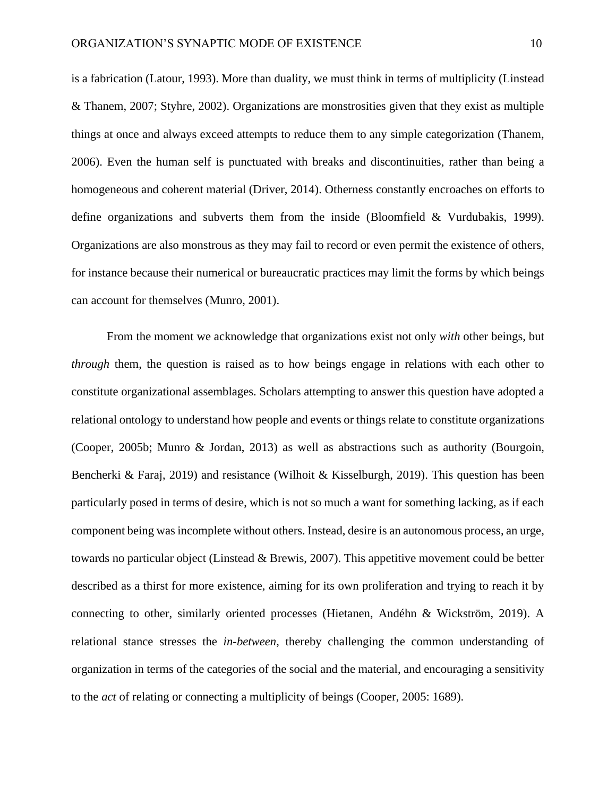is a fabrication (Latour, 1993). More than duality, we must think in terms of multiplicity (Linstead & Thanem, 2007; Styhre, 2002). Organizations are monstrosities given that they exist as multiple things at once and always exceed attempts to reduce them to any simple categorization (Thanem, 2006). Even the human self is punctuated with breaks and discontinuities, rather than being a homogeneous and coherent material (Driver, 2014). Otherness constantly encroaches on efforts to define organizations and subverts them from the inside (Bloomfield & Vurdubakis, 1999). Organizations are also monstrous as they may fail to record or even permit the existence of others, for instance because their numerical or bureaucratic practices may limit the forms by which beings can account for themselves (Munro, 2001).

From the moment we acknowledge that organizations exist not only *with* other beings, but *through* them, the question is raised as to how beings engage in relations with each other to constitute organizational assemblages. Scholars attempting to answer this question have adopted a relational ontology to understand how people and events or things relate to constitute organizations (Cooper, 2005b; Munro & Jordan, 2013) as well as abstractions such as authority (Bourgoin, Bencherki & Faraj, 2019) and resistance (Wilhoit & Kisselburgh, 2019). This question has been particularly posed in terms of desire, which is not so much a want for something lacking, as if each component being was incomplete without others. Instead, desire is an autonomous process, an urge, towards no particular object (Linstead & Brewis, 2007). This appetitive movement could be better described as a thirst for more existence, aiming for its own proliferation and trying to reach it by connecting to other, similarly oriented processes (Hietanen, Andéhn & Wickström, 2019). A relational stance stresses the *in-between*, thereby challenging the common understanding of organization in terms of the categories of the social and the material, and encouraging a sensitivity to the *act* of relating or connecting a multiplicity of beings (Cooper, 2005: 1689).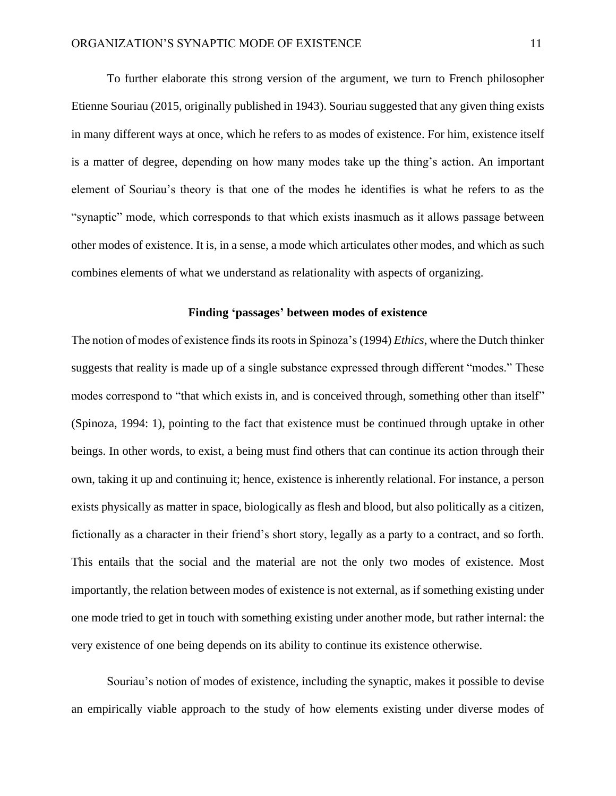To further elaborate this strong version of the argument, we turn to French philosopher Etienne Souriau (2015, originally published in 1943). Souriau suggested that any given thing exists in many different ways at once, which he refers to as modes of existence. For him, existence itself is a matter of degree, depending on how many modes take up the thing's action. An important element of Souriau's theory is that one of the modes he identifies is what he refers to as the "synaptic" mode, which corresponds to that which exists inasmuch as it allows passage between other modes of existence. It is, in a sense, a mode which articulates other modes, and which as such combines elements of what we understand as relationality with aspects of organizing.

# **Finding 'passages' between modes of existence**

The notion of modes of existence finds its roots in Spinoza's (1994) *Ethics*, where the Dutch thinker suggests that reality is made up of a single substance expressed through different "modes." These modes correspond to "that which exists in, and is conceived through, something other than itself" (Spinoza, 1994: 1), pointing to the fact that existence must be continued through uptake in other beings. In other words, to exist, a being must find others that can continue its action through their own, taking it up and continuing it; hence, existence is inherently relational. For instance, a person exists physically as matter in space, biologically as flesh and blood, but also politically as a citizen, fictionally as a character in their friend's short story, legally as a party to a contract, and so forth. This entails that the social and the material are not the only two modes of existence. Most importantly, the relation between modes of existence is not external, as if something existing under one mode tried to get in touch with something existing under another mode, but rather internal: the very existence of one being depends on its ability to continue its existence otherwise.

Souriau's notion of modes of existence, including the synaptic, makes it possible to devise an empirically viable approach to the study of how elements existing under diverse modes of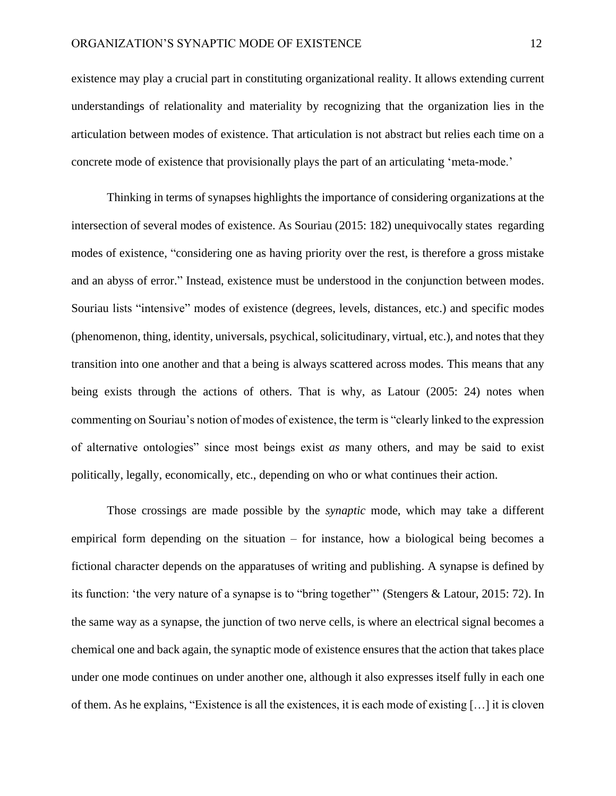existence may play a crucial part in constituting organizational reality. It allows extending current understandings of relationality and materiality by recognizing that the organization lies in the articulation between modes of existence. That articulation is not abstract but relies each time on a concrete mode of existence that provisionally plays the part of an articulating 'meta-mode.'

Thinking in terms of synapses highlights the importance of considering organizations at the intersection of several modes of existence. As Souriau (2015: 182) unequivocally states regarding modes of existence, "considering one as having priority over the rest, is therefore a gross mistake and an abyss of error." Instead, existence must be understood in the conjunction between modes. Souriau lists "intensive" modes of existence (degrees, levels, distances, etc.) and specific modes (phenomenon, thing, identity, universals, psychical, solicitudinary, virtual, etc.), and notesthat they transition into one another and that a being is always scattered across modes. This means that any being exists through the actions of others. That is why, as Latour (2005: 24) notes when commenting on Souriau's notion of modes of existence, the term is "clearly linked to the expression of alternative ontologies" since most beings exist *as* many others, and may be said to exist politically, legally, economically, etc., depending on who or what continues their action.

Those crossings are made possible by the *synaptic* mode, which may take a different empirical form depending on the situation – for instance, how a biological being becomes a fictional character depends on the apparatuses of writing and publishing. A synapse is defined by its function: 'the very nature of a synapse is to "bring together"' (Stengers & Latour, 2015: 72). In the same way as a synapse, the junction of two nerve cells, is where an electrical signal becomes a chemical one and back again, the synaptic mode of existence ensures that the action that takes place under one mode continues on under another one, although it also expresses itself fully in each one of them. As he explains, "Existence is all the existences, it is each mode of existing […] it is cloven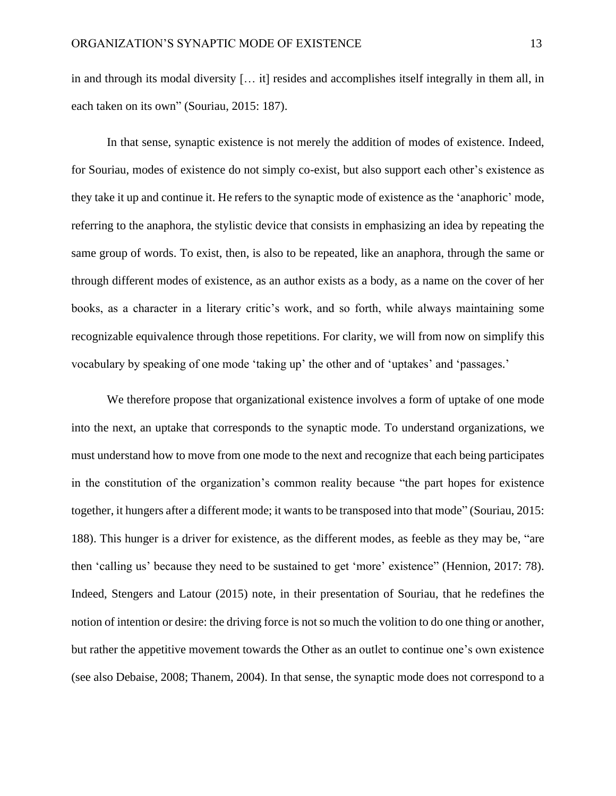in and through its modal diversity [… it] resides and accomplishes itself integrally in them all, in each taken on its own" (Souriau, 2015: 187).

In that sense, synaptic existence is not merely the addition of modes of existence. Indeed, for Souriau, modes of existence do not simply co-exist, but also support each other's existence as they take it up and continue it. He refers to the synaptic mode of existence as the 'anaphoric' mode, referring to the anaphora, the stylistic device that consists in emphasizing an idea by repeating the same group of words. To exist, then, is also to be repeated, like an anaphora, through the same or through different modes of existence, as an author exists as a body, as a name on the cover of her books, as a character in a literary critic's work, and so forth, while always maintaining some recognizable equivalence through those repetitions. For clarity, we will from now on simplify this vocabulary by speaking of one mode 'taking up' the other and of 'uptakes' and 'passages.'

We therefore propose that organizational existence involves a form of uptake of one mode into the next, an uptake that corresponds to the synaptic mode. To understand organizations, we must understand how to move from one mode to the next and recognize that each being participates in the constitution of the organization's common reality because "the part hopes for existence together, it hungers after a different mode; it wants to be transposed into that mode" (Souriau, 2015: 188). This hunger is a driver for existence, as the different modes, as feeble as they may be, "are then 'calling us' because they need to be sustained to get 'more' existence" (Hennion, 2017: 78). Indeed, Stengers and Latour (2015) note, in their presentation of Souriau, that he redefines the notion of intention or desire: the driving force is not so much the volition to do one thing or another, but rather the appetitive movement towards the Other as an outlet to continue one's own existence (see also Debaise, 2008; Thanem, 2004). In that sense, the synaptic mode does not correspond to a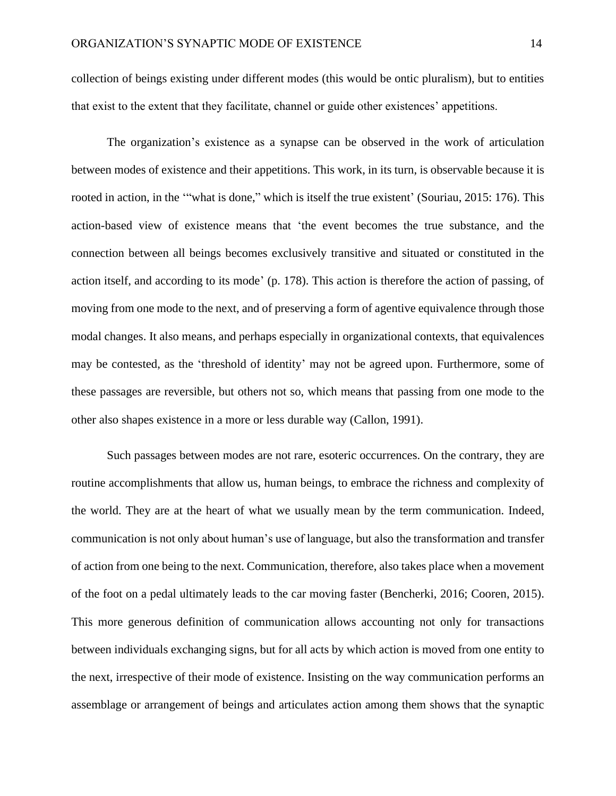collection of beings existing under different modes (this would be ontic pluralism), but to entities that exist to the extent that they facilitate, channel or guide other existences' appetitions.

The organization's existence as a synapse can be observed in the work of articulation between modes of existence and their appetitions. This work, in its turn, is observable because it is rooted in action, in the ""what is done," which is itself the true existent' (Souriau, 2015: 176). This action-based view of existence means that 'the event becomes the true substance, and the connection between all beings becomes exclusively transitive and situated or constituted in the action itself, and according to its mode' (p. 178). This action is therefore the action of passing, of moving from one mode to the next, and of preserving a form of agentive equivalence through those modal changes. It also means, and perhaps especially in organizational contexts, that equivalences may be contested, as the 'threshold of identity' may not be agreed upon. Furthermore, some of these passages are reversible, but others not so, which means that passing from one mode to the other also shapes existence in a more or less durable way (Callon, 1991).

Such passages between modes are not rare, esoteric occurrences. On the contrary, they are routine accomplishments that allow us, human beings, to embrace the richness and complexity of the world. They are at the heart of what we usually mean by the term communication. Indeed, communication is not only about human's use of language, but also the transformation and transfer of action from one being to the next. Communication, therefore, also takes place when a movement of the foot on a pedal ultimately leads to the car moving faster (Bencherki, 2016; Cooren, 2015). This more generous definition of communication allows accounting not only for transactions between individuals exchanging signs, but for all acts by which action is moved from one entity to the next, irrespective of their mode of existence. Insisting on the way communication performs an assemblage or arrangement of beings and articulates action among them shows that the synaptic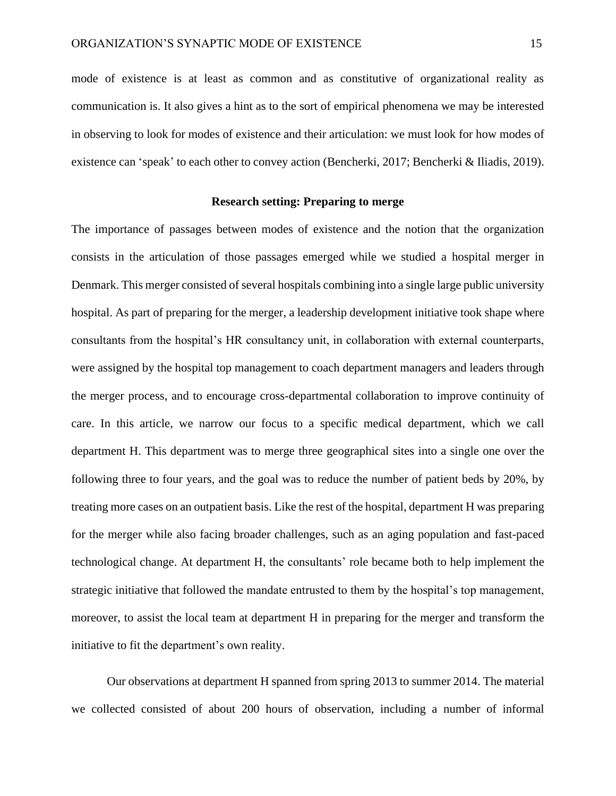mode of existence is at least as common and as constitutive of organizational reality as communication is. It also gives a hint as to the sort of empirical phenomena we may be interested in observing to look for modes of existence and their articulation: we must look for how modes of existence can 'speak' to each other to convey action (Bencherki, 2017; Bencherki & Iliadis, 2019).

## **Research setting: Preparing to merge**

The importance of passages between modes of existence and the notion that the organization consists in the articulation of those passages emerged while we studied a hospital merger in Denmark. This merger consisted of several hospitals combining into a single large public university hospital. As part of preparing for the merger, a leadership development initiative took shape where consultants from the hospital's HR consultancy unit, in collaboration with external counterparts, were assigned by the hospital top management to coach department managers and leaders through the merger process, and to encourage cross-departmental collaboration to improve continuity of care. In this article, we narrow our focus to a specific medical department, which we call department H. This department was to merge three geographical sites into a single one over the following three to four years, and the goal was to reduce the number of patient beds by 20%, by treating more cases on an outpatient basis. Like the rest of the hospital, department H was preparing for the merger while also facing broader challenges, such as an aging population and fast-paced technological change. At department H, the consultants' role became both to help implement the strategic initiative that followed the mandate entrusted to them by the hospital's top management, moreover, to assist the local team at department H in preparing for the merger and transform the initiative to fit the department's own reality.

Our observations at department H spanned from spring 2013 to summer 2014. The material we collected consisted of about 200 hours of observation, including a number of informal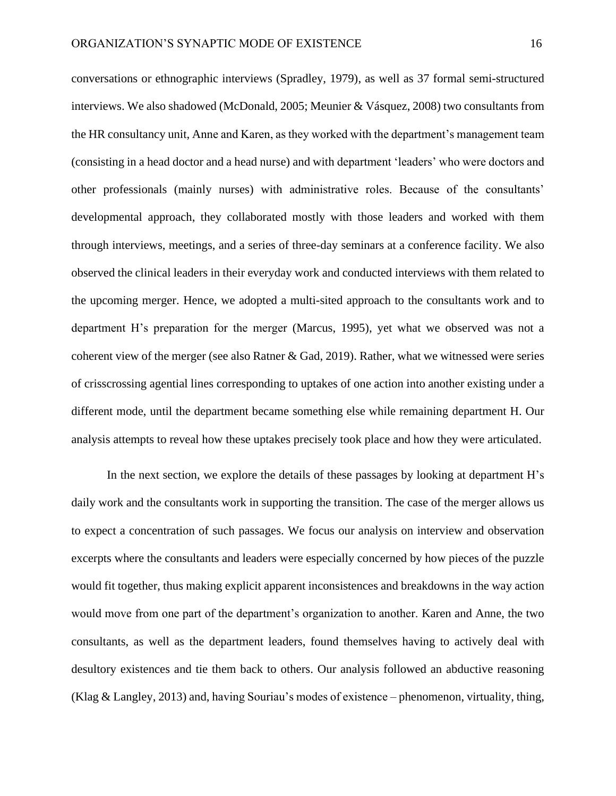conversations or ethnographic interviews (Spradley, 1979), as well as 37 formal semi-structured interviews. We also shadowed (McDonald, 2005; Meunier & Vásquez, 2008) two consultants from the HR consultancy unit, Anne and Karen, as they worked with the department's management team (consisting in a head doctor and a head nurse) and with department 'leaders' who were doctors and other professionals (mainly nurses) with administrative roles. Because of the consultants' developmental approach, they collaborated mostly with those leaders and worked with them through interviews, meetings, and a series of three-day seminars at a conference facility. We also observed the clinical leaders in their everyday work and conducted interviews with them related to the upcoming merger. Hence, we adopted a multi-sited approach to the consultants work and to department H's preparation for the merger (Marcus, 1995), yet what we observed was not a coherent view of the merger (see also Ratner & Gad, 2019). Rather, what we witnessed were series of crisscrossing agential lines corresponding to uptakes of one action into another existing under a different mode, until the department became something else while remaining department H. Our analysis attempts to reveal how these uptakes precisely took place and how they were articulated.

In the next section, we explore the details of these passages by looking at department H's daily work and the consultants work in supporting the transition. The case of the merger allows us to expect a concentration of such passages. We focus our analysis on interview and observation excerpts where the consultants and leaders were especially concerned by how pieces of the puzzle would fit together, thus making explicit apparent inconsistences and breakdowns in the way action would move from one part of the department's organization to another. Karen and Anne, the two consultants, as well as the department leaders, found themselves having to actively deal with desultory existences and tie them back to others. Our analysis followed an abductive reasoning (Klag & Langley, 2013) and, having Souriau's modes of existence – phenomenon, virtuality, thing,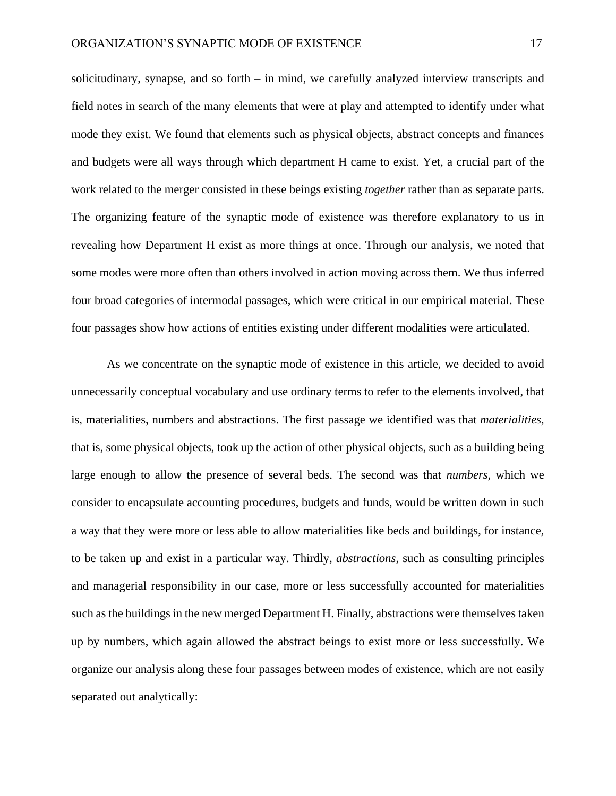solicitudinary, synapse, and so forth – in mind, we carefully analyzed interview transcripts and field notes in search of the many elements that were at play and attempted to identify under what mode they exist. We found that elements such as physical objects, abstract concepts and finances and budgets were all ways through which department H came to exist. Yet, a crucial part of the work related to the merger consisted in these beings existing *together* rather than as separate parts. The organizing feature of the synaptic mode of existence was therefore explanatory to us in revealing how Department H exist as more things at once. Through our analysis, we noted that some modes were more often than others involved in action moving across them. We thus inferred four broad categories of intermodal passages, which were critical in our empirical material. These four passages show how actions of entities existing under different modalities were articulated.

As we concentrate on the synaptic mode of existence in this article, we decided to avoid unnecessarily conceptual vocabulary and use ordinary terms to refer to the elements involved, that is, materialities, numbers and abstractions. The first passage we identified was that *materialities,*  that is, some physical objects, took up the action of other physical objects, such as a building being large enough to allow the presence of several beds. The second was that *numbers,* which we consider to encapsulate accounting procedures, budgets and funds, would be written down in such a way that they were more or less able to allow materialities like beds and buildings, for instance, to be taken up and exist in a particular way. Thirdly, *abstractions*, such as consulting principles and managerial responsibility in our case, more or less successfully accounted for materialities such as the buildings in the new merged Department H. Finally, abstractions were themselves taken up by numbers, which again allowed the abstract beings to exist more or less successfully. We organize our analysis along these four passages between modes of existence, which are not easily separated out analytically: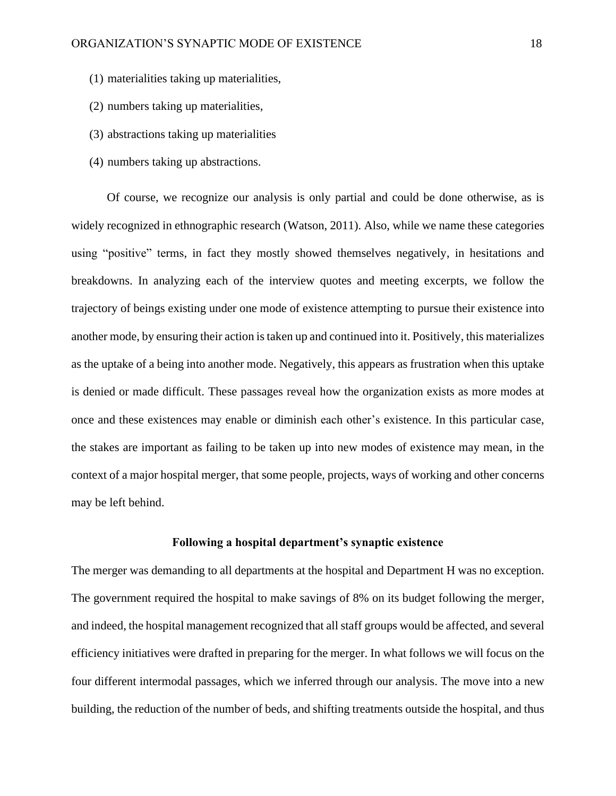- (1) materialities taking up materialities,
- (2) numbers taking up materialities,
- (3) abstractions taking up materialities
- (4) numbers taking up abstractions.

Of course, we recognize our analysis is only partial and could be done otherwise, as is widely recognized in ethnographic research (Watson, 2011). Also, while we name these categories using "positive" terms, in fact they mostly showed themselves negatively, in hesitations and breakdowns. In analyzing each of the interview quotes and meeting excerpts, we follow the trajectory of beings existing under one mode of existence attempting to pursue their existence into another mode, by ensuring their action is taken up and continued into it. Positively, this materializes as the uptake of a being into another mode. Negatively, this appears as frustration when this uptake is denied or made difficult. These passages reveal how the organization exists as more modes at once and these existences may enable or diminish each other's existence. In this particular case, the stakes are important as failing to be taken up into new modes of existence may mean, in the context of a major hospital merger, that some people, projects, ways of working and other concerns may be left behind.

# **Following a hospital department's synaptic existence**

The merger was demanding to all departments at the hospital and Department H was no exception. The government required the hospital to make savings of 8% on its budget following the merger, and indeed, the hospital management recognized that all staff groups would be affected, and several efficiency initiatives were drafted in preparing for the merger. In what follows we will focus on the four different intermodal passages, which we inferred through our analysis. The move into a new building, the reduction of the number of beds, and shifting treatments outside the hospital, and thus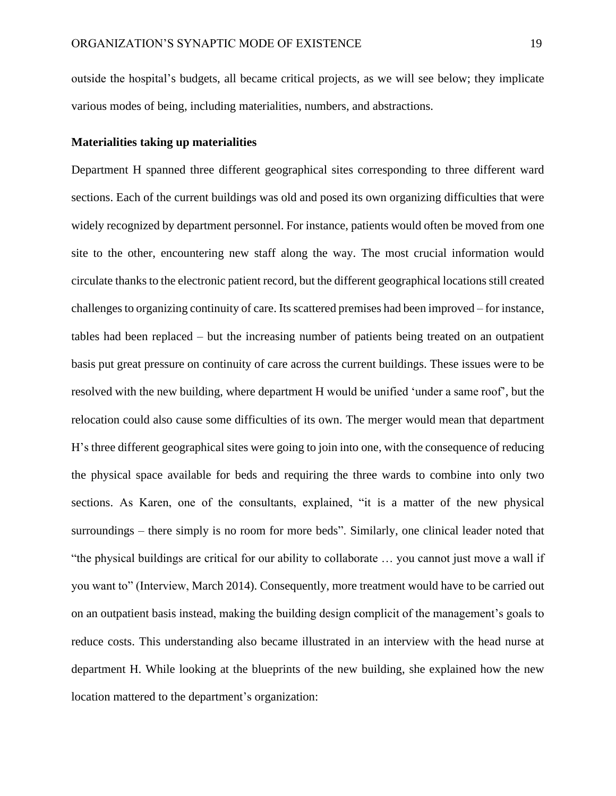outside the hospital's budgets, all became critical projects, as we will see below; they implicate various modes of being, including materialities, numbers, and abstractions.

## **Materialities taking up materialities**

Department H spanned three different geographical sites corresponding to three different ward sections. Each of the current buildings was old and posed its own organizing difficulties that were widely recognized by department personnel. For instance, patients would often be moved from one site to the other, encountering new staff along the way. The most crucial information would circulate thanks to the electronic patient record, but the different geographical locations still created challenges to organizing continuity of care. Its scattered premises had been improved – for instance, tables had been replaced – but the increasing number of patients being treated on an outpatient basis put great pressure on continuity of care across the current buildings. These issues were to be resolved with the new building, where department H would be unified 'under a same roof', but the relocation could also cause some difficulties of its own. The merger would mean that department H's three different geographical sites were going to join into one, with the consequence of reducing the physical space available for beds and requiring the three wards to combine into only two sections. As Karen, one of the consultants, explained, "it is a matter of the new physical surroundings – there simply is no room for more beds". Similarly, one clinical leader noted that "the physical buildings are critical for our ability to collaborate … you cannot just move a wall if you want to" (Interview, March 2014). Consequently, more treatment would have to be carried out on an outpatient basis instead, making the building design complicit of the management's goals to reduce costs. This understanding also became illustrated in an interview with the head nurse at department H. While looking at the blueprints of the new building, she explained how the new location mattered to the department's organization: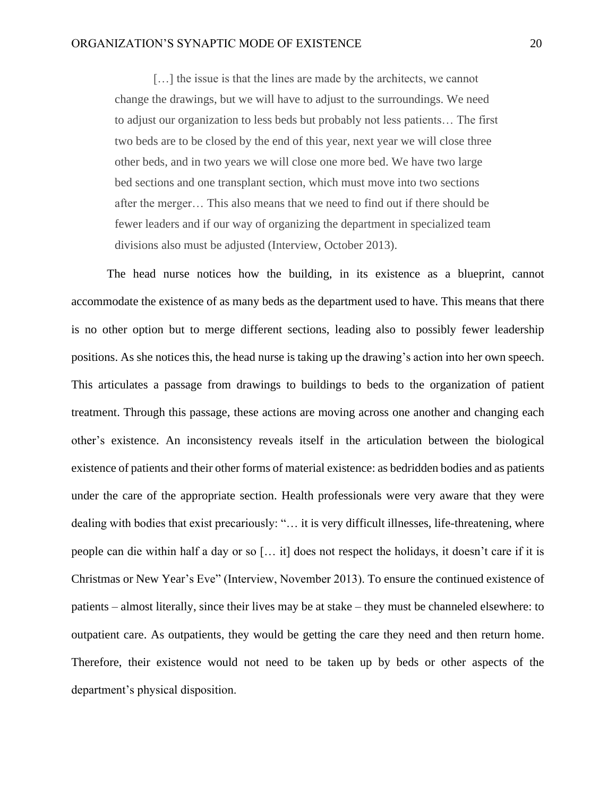[...] the issue is that the lines are made by the architects, we cannot change the drawings, but we will have to adjust to the surroundings. We need to adjust our organization to less beds but probably not less patients… The first two beds are to be closed by the end of this year, next year we will close three other beds, and in two years we will close one more bed. We have two large bed sections and one transplant section, which must move into two sections after the merger… This also means that we need to find out if there should be fewer leaders and if our way of organizing the department in specialized team divisions also must be adjusted (Interview, October 2013).

The head nurse notices how the building, in its existence as a blueprint, cannot accommodate the existence of as many beds as the department used to have. This means that there is no other option but to merge different sections, leading also to possibly fewer leadership positions. As she notices this, the head nurse is taking up the drawing's action into her own speech. This articulates a passage from drawings to buildings to beds to the organization of patient treatment. Through this passage, these actions are moving across one another and changing each other's existence. An inconsistency reveals itself in the articulation between the biological existence of patients and their other forms of material existence: as bedridden bodies and as patients under the care of the appropriate section. Health professionals were very aware that they were dealing with bodies that exist precariously: "… it is very difficult illnesses, life-threatening, where people can die within half a day or so [… it] does not respect the holidays, it doesn't care if it is Christmas or New Year's Eve" (Interview, November 2013). To ensure the continued existence of patients – almost literally, since their lives may be at stake – they must be channeled elsewhere: to outpatient care. As outpatients, they would be getting the care they need and then return home. Therefore, their existence would not need to be taken up by beds or other aspects of the department's physical disposition.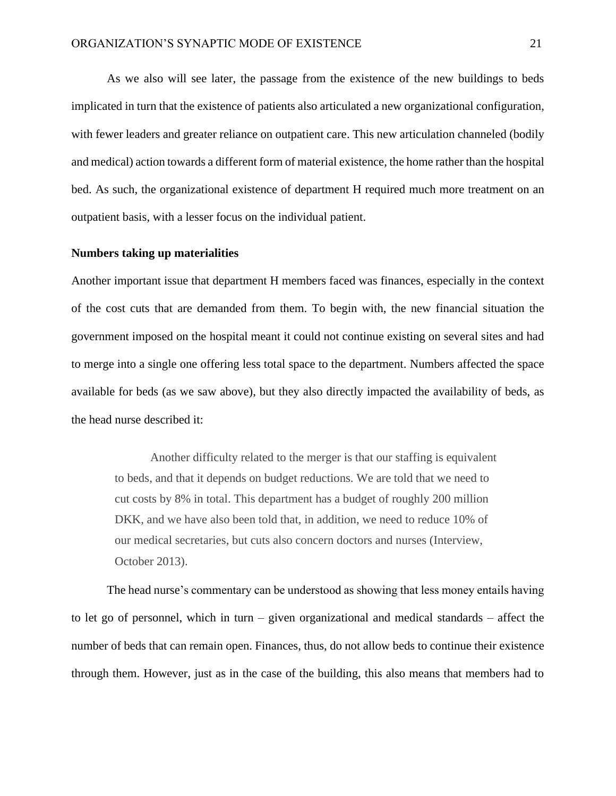As we also will see later, the passage from the existence of the new buildings to beds implicated in turn that the existence of patients also articulated a new organizational configuration, with fewer leaders and greater reliance on outpatient care. This new articulation channeled (bodily and medical) action towards a different form of material existence, the home rather than the hospital bed. As such, the organizational existence of department H required much more treatment on an outpatient basis, with a lesser focus on the individual patient.

#### **Numbers taking up materialities**

Another important issue that department H members faced was finances, especially in the context of the cost cuts that are demanded from them. To begin with, the new financial situation the government imposed on the hospital meant it could not continue existing on several sites and had to merge into a single one offering less total space to the department. Numbers affected the space available for beds (as we saw above), but they also directly impacted the availability of beds, as the head nurse described it:

Another difficulty related to the merger is that our staffing is equivalent to beds, and that it depends on budget reductions. We are told that we need to cut costs by 8% in total. This department has a budget of roughly 200 million DKK, and we have also been told that, in addition, we need to reduce 10% of our medical secretaries, but cuts also concern doctors and nurses (Interview, October 2013).

The head nurse's commentary can be understood as showing that less money entails having to let go of personnel, which in turn – given organizational and medical standards – affect the number of beds that can remain open. Finances, thus, do not allow beds to continue their existence through them. However, just as in the case of the building, this also means that members had to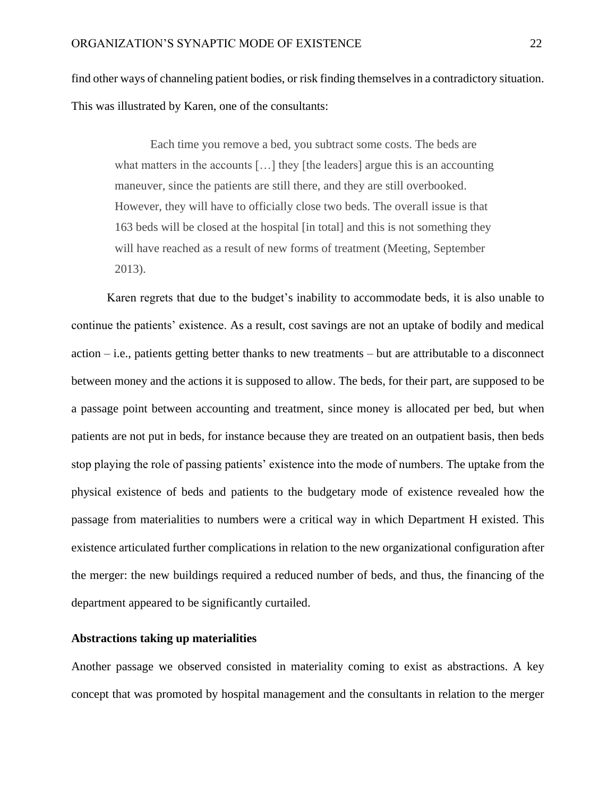find other ways of channeling patient bodies, or risk finding themselves in a contradictory situation. This was illustrated by Karen, one of the consultants:

Each time you remove a bed, you subtract some costs. The beds are what matters in the accounts [...] they [the leaders] argue this is an accounting maneuver, since the patients are still there, and they are still overbooked. However, they will have to officially close two beds. The overall issue is that 163 beds will be closed at the hospital [in total] and this is not something they will have reached as a result of new forms of treatment (Meeting, September 2013).

Karen regrets that due to the budget's inability to accommodate beds, it is also unable to continue the patients' existence. As a result, cost savings are not an uptake of bodily and medical action – i.e., patients getting better thanks to new treatments – but are attributable to a disconnect between money and the actions it is supposed to allow. The beds, for their part, are supposed to be a passage point between accounting and treatment, since money is allocated per bed, but when patients are not put in beds, for instance because they are treated on an outpatient basis, then beds stop playing the role of passing patients' existence into the mode of numbers. The uptake from the physical existence of beds and patients to the budgetary mode of existence revealed how the passage from materialities to numbers were a critical way in which Department H existed. This existence articulated further complications in relation to the new organizational configuration after the merger: the new buildings required a reduced number of beds, and thus, the financing of the department appeared to be significantly curtailed.

#### **Abstractions taking up materialities**

Another passage we observed consisted in materiality coming to exist as abstractions. A key concept that was promoted by hospital management and the consultants in relation to the merger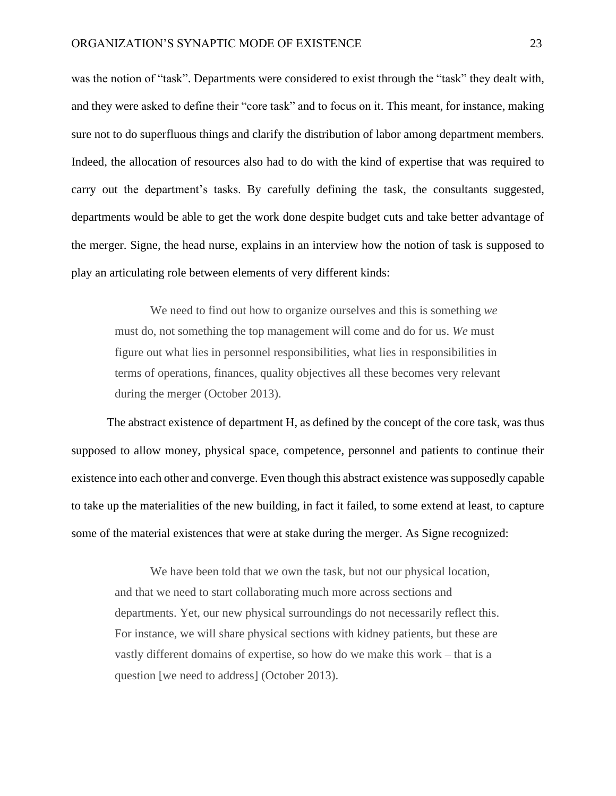was the notion of "task". Departments were considered to exist through the "task" they dealt with, and they were asked to define their "core task" and to focus on it. This meant, for instance, making sure not to do superfluous things and clarify the distribution of labor among department members. Indeed, the allocation of resources also had to do with the kind of expertise that was required to carry out the department's tasks. By carefully defining the task, the consultants suggested, departments would be able to get the work done despite budget cuts and take better advantage of the merger. Signe, the head nurse, explains in an interview how the notion of task is supposed to play an articulating role between elements of very different kinds:

We need to find out how to organize ourselves and this is something *we* must do, not something the top management will come and do for us. *We* must figure out what lies in personnel responsibilities, what lies in responsibilities in terms of operations, finances, quality objectives all these becomes very relevant during the merger (October 2013).

The abstract existence of department H, as defined by the concept of the core task, was thus supposed to allow money, physical space, competence, personnel and patients to continue their existence into each other and converge. Even though this abstract existence was supposedly capable to take up the materialities of the new building, in fact it failed, to some extend at least, to capture some of the material existences that were at stake during the merger. As Signe recognized:

We have been told that we own the task, but not our physical location, and that we need to start collaborating much more across sections and departments. Yet, our new physical surroundings do not necessarily reflect this. For instance, we will share physical sections with kidney patients, but these are vastly different domains of expertise, so how do we make this work – that is a question [we need to address] (October 2013).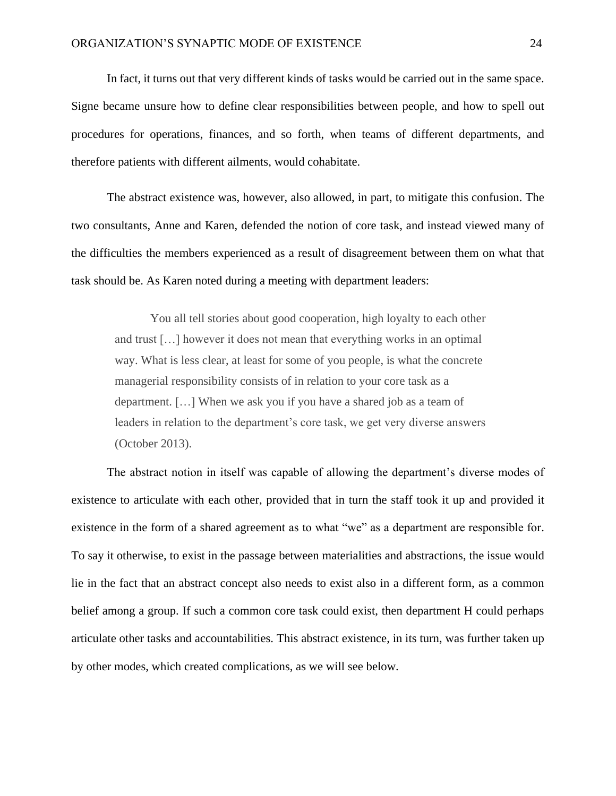In fact, it turns out that very different kinds of tasks would be carried out in the same space. Signe became unsure how to define clear responsibilities between people, and how to spell out procedures for operations, finances, and so forth, when teams of different departments, and therefore patients with different ailments, would cohabitate.

The abstract existence was, however, also allowed, in part, to mitigate this confusion. The two consultants, Anne and Karen, defended the notion of core task, and instead viewed many of the difficulties the members experienced as a result of disagreement between them on what that task should be. As Karen noted during a meeting with department leaders:

You all tell stories about good cooperation, high loyalty to each other and trust […] however it does not mean that everything works in an optimal way. What is less clear, at least for some of you people, is what the concrete managerial responsibility consists of in relation to your core task as a department. […] When we ask you if you have a shared job as a team of leaders in relation to the department's core task, we get very diverse answers (October 2013).

The abstract notion in itself was capable of allowing the department's diverse modes of existence to articulate with each other, provided that in turn the staff took it up and provided it existence in the form of a shared agreement as to what "we" as a department are responsible for. To say it otherwise, to exist in the passage between materialities and abstractions, the issue would lie in the fact that an abstract concept also needs to exist also in a different form, as a common belief among a group. If such a common core task could exist, then department H could perhaps articulate other tasks and accountabilities. This abstract existence, in its turn, was further taken up by other modes, which created complications, as we will see below.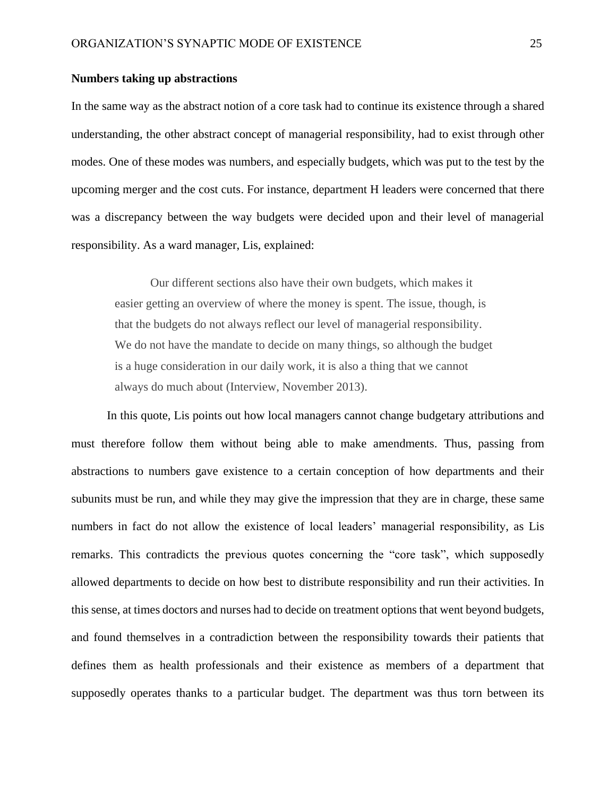## **Numbers taking up abstractions**

In the same way as the abstract notion of a core task had to continue its existence through a shared understanding, the other abstract concept of managerial responsibility, had to exist through other modes. One of these modes was numbers, and especially budgets, which was put to the test by the upcoming merger and the cost cuts. For instance, department H leaders were concerned that there was a discrepancy between the way budgets were decided upon and their level of managerial responsibility. As a ward manager, Lis, explained:

Our different sections also have their own budgets, which makes it easier getting an overview of where the money is spent. The issue, though, is that the budgets do not always reflect our level of managerial responsibility. We do not have the mandate to decide on many things, so although the budget is a huge consideration in our daily work, it is also a thing that we cannot always do much about (Interview, November 2013).

In this quote, Lis points out how local managers cannot change budgetary attributions and must therefore follow them without being able to make amendments. Thus, passing from abstractions to numbers gave existence to a certain conception of how departments and their subunits must be run, and while they may give the impression that they are in charge, these same numbers in fact do not allow the existence of local leaders' managerial responsibility, as Lis remarks. This contradicts the previous quotes concerning the "core task", which supposedly allowed departments to decide on how best to distribute responsibility and run their activities. In this sense, at times doctors and nurses had to decide on treatment options that went beyond budgets, and found themselves in a contradiction between the responsibility towards their patients that defines them as health professionals and their existence as members of a department that supposedly operates thanks to a particular budget. The department was thus torn between its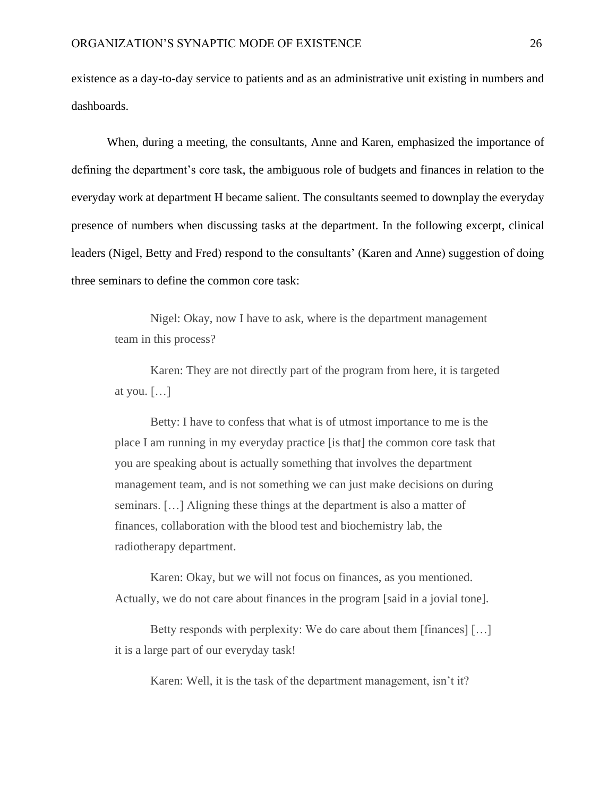existence as a day-to-day service to patients and as an administrative unit existing in numbers and dashboards.

When, during a meeting, the consultants, Anne and Karen, emphasized the importance of defining the department's core task, the ambiguous role of budgets and finances in relation to the everyday work at department H became salient. The consultants seemed to downplay the everyday presence of numbers when discussing tasks at the department. In the following excerpt, clinical leaders (Nigel, Betty and Fred) respond to the consultants' (Karen and Anne) suggestion of doing three seminars to define the common core task:

Nigel: Okay, now I have to ask, where is the department management team in this process?

Karen: They are not directly part of the program from here, it is targeted at you.  $[\dots]$ 

Betty: I have to confess that what is of utmost importance to me is the place I am running in my everyday practice [is that] the common core task that you are speaking about is actually something that involves the department management team, and is not something we can just make decisions on during seminars. […] Aligning these things at the department is also a matter of finances, collaboration with the blood test and biochemistry lab, the radiotherapy department.

Karen: Okay, but we will not focus on finances, as you mentioned. Actually, we do not care about finances in the program [said in a jovial tone].

Betty responds with perplexity: We do care about them [finances] […] it is a large part of our everyday task!

Karen: Well, it is the task of the department management, isn't it?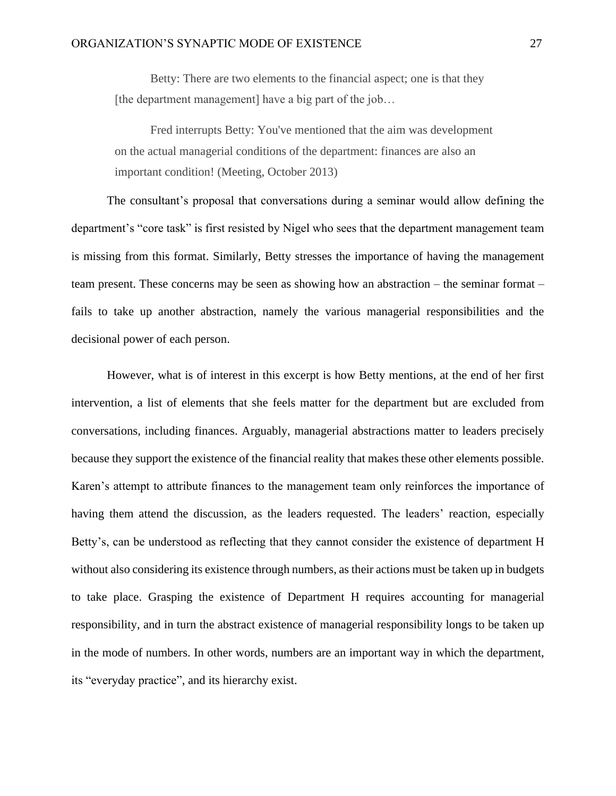Betty: There are two elements to the financial aspect; one is that they [the department management] have a big part of the job...

Fred interrupts Betty: You've mentioned that the aim was development on the actual managerial conditions of the department: finances are also an important condition! (Meeting, October 2013)

The consultant's proposal that conversations during a seminar would allow defining the department's "core task" is first resisted by Nigel who sees that the department management team is missing from this format. Similarly, Betty stresses the importance of having the management team present. These concerns may be seen as showing how an abstraction – the seminar format – fails to take up another abstraction, namely the various managerial responsibilities and the decisional power of each person.

However, what is of interest in this excerpt is how Betty mentions, at the end of her first intervention, a list of elements that she feels matter for the department but are excluded from conversations, including finances. Arguably, managerial abstractions matter to leaders precisely because they support the existence of the financial reality that makes these other elements possible. Karen's attempt to attribute finances to the management team only reinforces the importance of having them attend the discussion, as the leaders requested. The leaders' reaction, especially Betty's, can be understood as reflecting that they cannot consider the existence of department H without also considering its existence through numbers, as their actions must be taken up in budgets to take place. Grasping the existence of Department H requires accounting for managerial responsibility, and in turn the abstract existence of managerial responsibility longs to be taken up in the mode of numbers. In other words, numbers are an important way in which the department, its "everyday practice", and its hierarchy exist.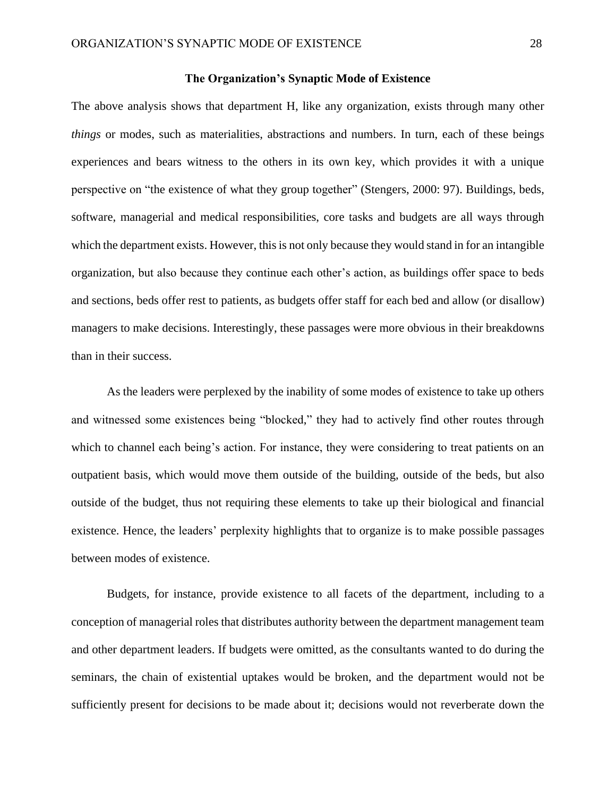### **The Organization's Synaptic Mode of Existence**

The above analysis shows that department H, like any organization, exists through many other *things* or modes, such as materialities, abstractions and numbers. In turn, each of these beings experiences and bears witness to the others in its own key, which provides it with a unique perspective on "the existence of what they group together" (Stengers, 2000: 97). Buildings, beds, software, managerial and medical responsibilities, core tasks and budgets are all ways through which the department exists. However, this is not only because they would stand in for an intangible organization, but also because they continue each other's action, as buildings offer space to beds and sections, beds offer rest to patients, as budgets offer staff for each bed and allow (or disallow) managers to make decisions. Interestingly, these passages were more obvious in their breakdowns than in their success.

As the leaders were perplexed by the inability of some modes of existence to take up others and witnessed some existences being "blocked," they had to actively find other routes through which to channel each being's action. For instance, they were considering to treat patients on an outpatient basis, which would move them outside of the building, outside of the beds, but also outside of the budget, thus not requiring these elements to take up their biological and financial existence. Hence, the leaders' perplexity highlights that to organize is to make possible passages between modes of existence.

Budgets, for instance, provide existence to all facets of the department, including to a conception of managerial roles that distributes authority between the department management team and other department leaders. If budgets were omitted, as the consultants wanted to do during the seminars, the chain of existential uptakes would be broken, and the department would not be sufficiently present for decisions to be made about it; decisions would not reverberate down the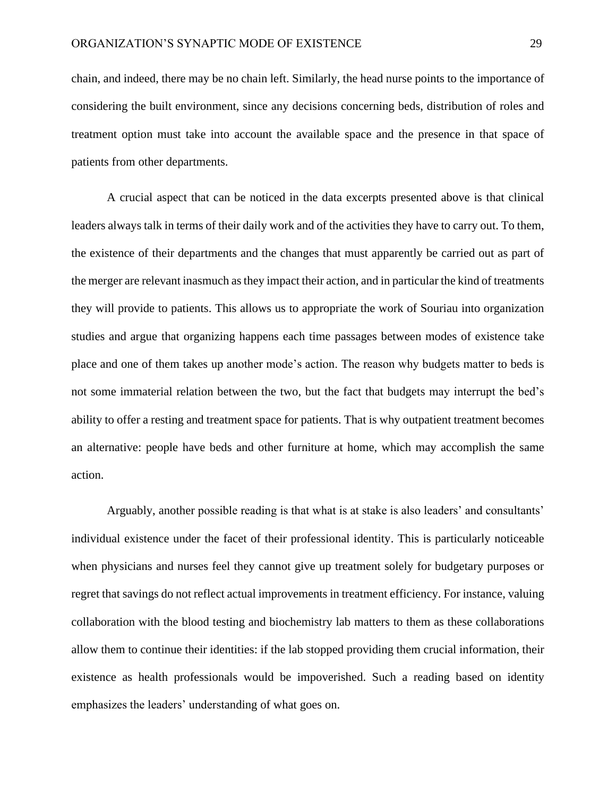chain, and indeed, there may be no chain left. Similarly, the head nurse points to the importance of considering the built environment, since any decisions concerning beds, distribution of roles and treatment option must take into account the available space and the presence in that space of patients from other departments.

A crucial aspect that can be noticed in the data excerpts presented above is that clinical leaders always talk in terms of their daily work and of the activities they have to carry out. To them, the existence of their departments and the changes that must apparently be carried out as part of the merger are relevant inasmuch as they impact their action, and in particular the kind of treatments they will provide to patients. This allows us to appropriate the work of Souriau into organization studies and argue that organizing happens each time passages between modes of existence take place and one of them takes up another mode's action. The reason why budgets matter to beds is not some immaterial relation between the two, but the fact that budgets may interrupt the bed's ability to offer a resting and treatment space for patients. That is why outpatient treatment becomes an alternative: people have beds and other furniture at home, which may accomplish the same action.

Arguably, another possible reading is that what is at stake is also leaders' and consultants' individual existence under the facet of their professional identity. This is particularly noticeable when physicians and nurses feel they cannot give up treatment solely for budgetary purposes or regret that savings do not reflect actual improvements in treatment efficiency. For instance, valuing collaboration with the blood testing and biochemistry lab matters to them as these collaborations allow them to continue their identities: if the lab stopped providing them crucial information, their existence as health professionals would be impoverished. Such a reading based on identity emphasizes the leaders' understanding of what goes on.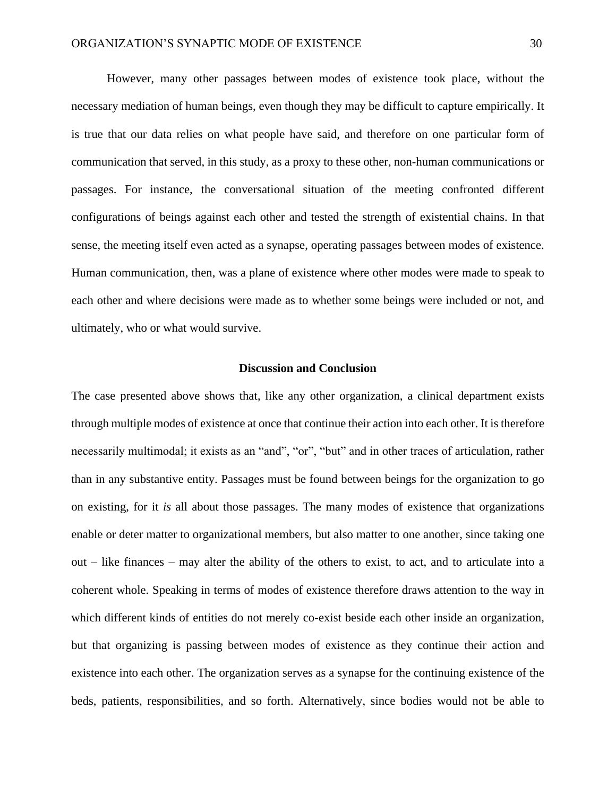However, many other passages between modes of existence took place, without the necessary mediation of human beings, even though they may be difficult to capture empirically. It is true that our data relies on what people have said, and therefore on one particular form of communication that served, in this study, as a proxy to these other, non-human communications or passages. For instance, the conversational situation of the meeting confronted different configurations of beings against each other and tested the strength of existential chains. In that sense, the meeting itself even acted as a synapse, operating passages between modes of existence. Human communication, then, was a plane of existence where other modes were made to speak to each other and where decisions were made as to whether some beings were included or not, and ultimately, who or what would survive.

# **Discussion and Conclusion**

The case presented above shows that, like any other organization, a clinical department exists through multiple modes of existence at once that continue their action into each other. It is therefore necessarily multimodal; it exists as an "and", "or", "but" and in other traces of articulation, rather than in any substantive entity. Passages must be found between beings for the organization to go on existing, for it *is* all about those passages. The many modes of existence that organizations enable or deter matter to organizational members, but also matter to one another, since taking one out – like finances – may alter the ability of the others to exist, to act, and to articulate into a coherent whole. Speaking in terms of modes of existence therefore draws attention to the way in which different kinds of entities do not merely co-exist beside each other inside an organization, but that organizing is passing between modes of existence as they continue their action and existence into each other. The organization serves as a synapse for the continuing existence of the beds, patients, responsibilities, and so forth. Alternatively, since bodies would not be able to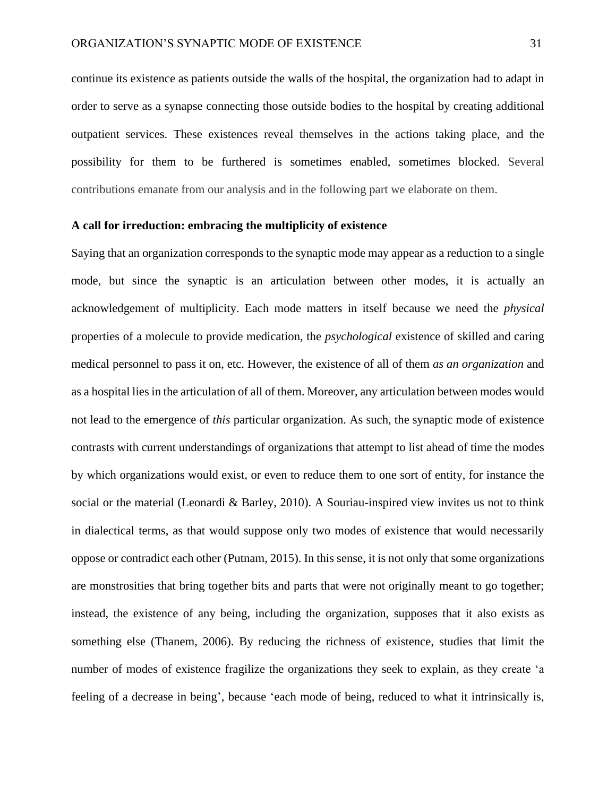continue its existence as patients outside the walls of the hospital, the organization had to adapt in order to serve as a synapse connecting those outside bodies to the hospital by creating additional outpatient services. These existences reveal themselves in the actions taking place, and the possibility for them to be furthered is sometimes enabled, sometimes blocked. Several contributions emanate from our analysis and in the following part we elaborate on them.

### **A call for irreduction: embracing the multiplicity of existence**

Saying that an organization corresponds to the synaptic mode may appear as a reduction to a single mode, but since the synaptic is an articulation between other modes, it is actually an acknowledgement of multiplicity. Each mode matters in itself because we need the *physical* properties of a molecule to provide medication, the *psychological* existence of skilled and caring medical personnel to pass it on, etc. However, the existence of all of them *as an organization* and as a hospital lies in the articulation of all of them. Moreover, any articulation between modes would not lead to the emergence of *this* particular organization. As such, the synaptic mode of existence contrasts with current understandings of organizations that attempt to list ahead of time the modes by which organizations would exist, or even to reduce them to one sort of entity, for instance the social or the material (Leonardi & Barley, 2010). A Souriau-inspired view invites us not to think in dialectical terms, as that would suppose only two modes of existence that would necessarily oppose or contradict each other (Putnam, 2015). In this sense, it is not only that some organizations are monstrosities that bring together bits and parts that were not originally meant to go together; instead, the existence of any being, including the organization, supposes that it also exists as something else (Thanem, 2006). By reducing the richness of existence, studies that limit the number of modes of existence fragilize the organizations they seek to explain, as they create 'a feeling of a decrease in being', because 'each mode of being, reduced to what it intrinsically is,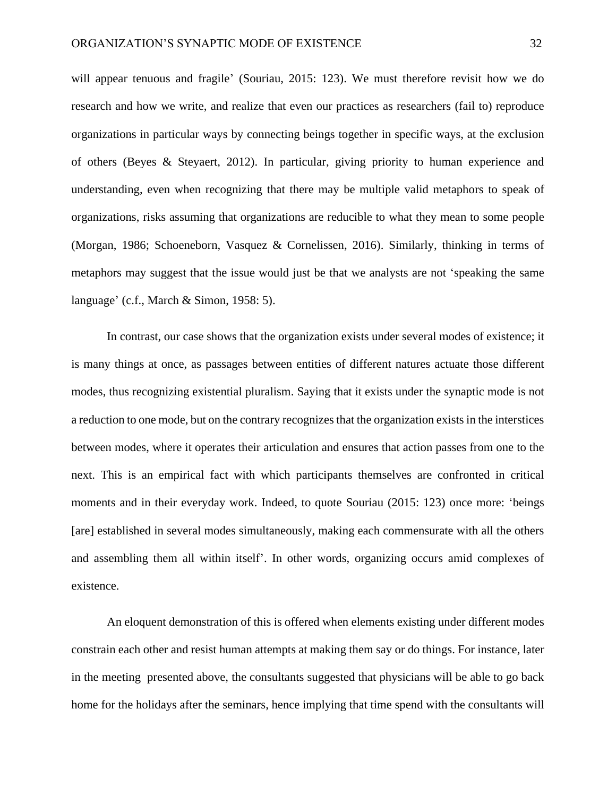will appear tenuous and fragile' (Souriau, 2015: 123). We must therefore revisit how we do research and how we write, and realize that even our practices as researchers (fail to) reproduce organizations in particular ways by connecting beings together in specific ways, at the exclusion of others (Beyes & Steyaert, 2012). In particular, giving priority to human experience and understanding, even when recognizing that there may be multiple valid metaphors to speak of organizations, risks assuming that organizations are reducible to what they mean to some people (Morgan, 1986; Schoeneborn, Vasquez & Cornelissen, 2016). Similarly, thinking in terms of metaphors may suggest that the issue would just be that we analysts are not 'speaking the same language' (c.f., March & Simon, 1958: 5).

In contrast, our case shows that the organization exists under several modes of existence; it is many things at once, as passages between entities of different natures actuate those different modes, thus recognizing existential pluralism. Saying that it exists under the synaptic mode is not a reduction to one mode, but on the contrary recognizes that the organization exists in the interstices between modes, where it operates their articulation and ensures that action passes from one to the next. This is an empirical fact with which participants themselves are confronted in critical moments and in their everyday work. Indeed, to quote Souriau (2015: 123) once more: 'beings [are] established in several modes simultaneously, making each commensurate with all the others and assembling them all within itself'. In other words, organizing occurs amid complexes of existence.

An eloquent demonstration of this is offered when elements existing under different modes constrain each other and resist human attempts at making them say or do things. For instance, later in the meeting presented above, the consultants suggested that physicians will be able to go back home for the holidays after the seminars, hence implying that time spend with the consultants will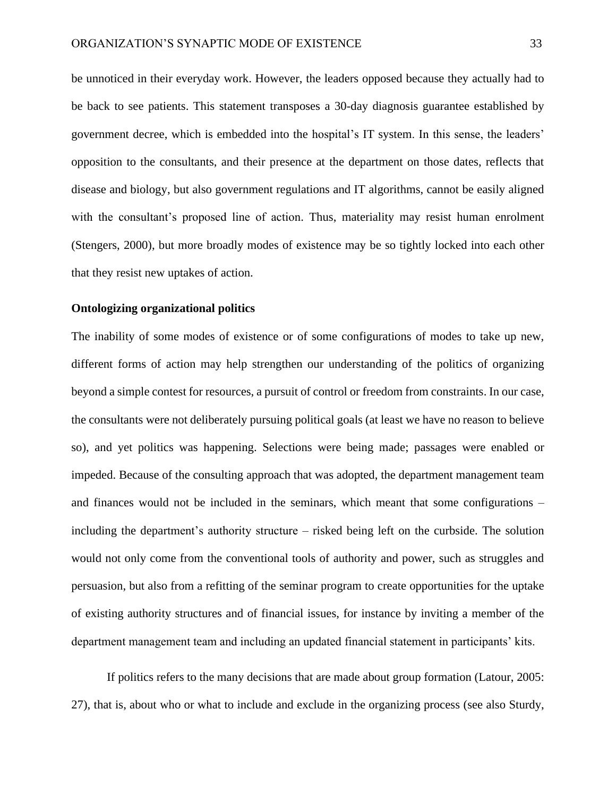be unnoticed in their everyday work. However, the leaders opposed because they actually had to be back to see patients. This statement transposes a 30-day diagnosis guarantee established by government decree, which is embedded into the hospital's IT system. In this sense, the leaders' opposition to the consultants, and their presence at the department on those dates, reflects that disease and biology, but also government regulations and IT algorithms, cannot be easily aligned with the consultant's proposed line of action. Thus, materiality may resist human enrolment (Stengers, 2000), but more broadly modes of existence may be so tightly locked into each other that they resist new uptakes of action.

# **Ontologizing organizational politics**

The inability of some modes of existence or of some configurations of modes to take up new, different forms of action may help strengthen our understanding of the politics of organizing beyond a simple contest for resources, a pursuit of control or freedom from constraints. In our case, the consultants were not deliberately pursuing political goals (at least we have no reason to believe so), and yet politics was happening. Selections were being made; passages were enabled or impeded. Because of the consulting approach that was adopted, the department management team and finances would not be included in the seminars, which meant that some configurations – including the department's authority structure – risked being left on the curbside. The solution would not only come from the conventional tools of authority and power, such as struggles and persuasion, but also from a refitting of the seminar program to create opportunities for the uptake of existing authority structures and of financial issues, for instance by inviting a member of the department management team and including an updated financial statement in participants' kits.

If politics refers to the many decisions that are made about group formation (Latour, 2005: 27), that is, about who or what to include and exclude in the organizing process (see also Sturdy,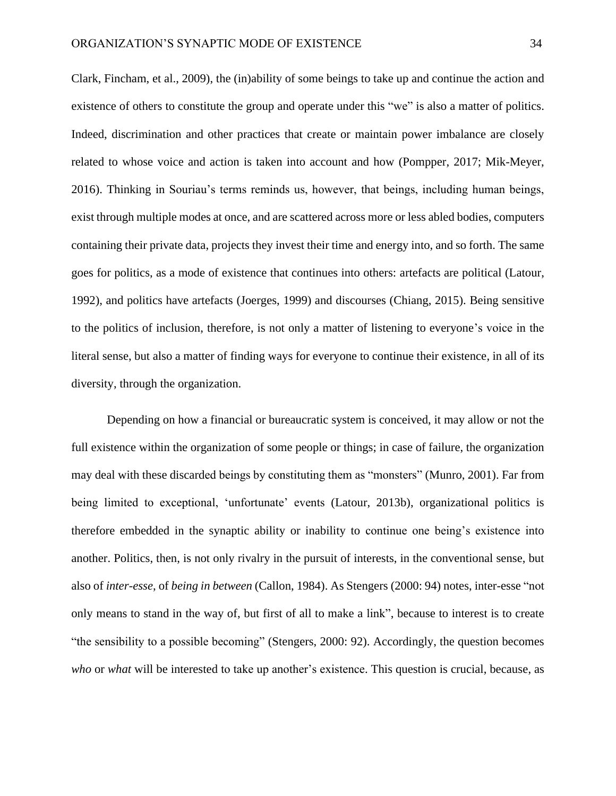Clark, Fincham, et al., 2009), the (in)ability of some beings to take up and continue the action and existence of others to constitute the group and operate under this "we" is also a matter of politics. Indeed, discrimination and other practices that create or maintain power imbalance are closely related to whose voice and action is taken into account and how (Pompper, 2017; Mik-Meyer, 2016). Thinking in Souriau's terms reminds us, however, that beings, including human beings, exist through multiple modes at once, and are scattered across more or less abled bodies, computers containing their private data, projects they invest their time and energy into, and so forth. The same goes for politics, as a mode of existence that continues into others: artefacts are political (Latour, 1992), and politics have artefacts (Joerges, 1999) and discourses (Chiang, 2015). Being sensitive to the politics of inclusion, therefore, is not only a matter of listening to everyone's voice in the literal sense, but also a matter of finding ways for everyone to continue their existence, in all of its diversity, through the organization.

Depending on how a financial or bureaucratic system is conceived, it may allow or not the full existence within the organization of some people or things; in case of failure, the organization may deal with these discarded beings by constituting them as "monsters" (Munro, 2001). Far from being limited to exceptional, 'unfortunate' events (Latour, 2013b), organizational politics is therefore embedded in the synaptic ability or inability to continue one being's existence into another. Politics, then, is not only rivalry in the pursuit of interests, in the conventional sense, but also of *inter-esse*, of *being in between* (Callon, 1984). As Stengers (2000: 94) notes, inter-esse "not only means to stand in the way of, but first of all to make a link", because to interest is to create "the sensibility to a possible becoming" (Stengers, 2000: 92). Accordingly, the question becomes *who* or *what* will be interested to take up another's existence. This question is crucial, because, as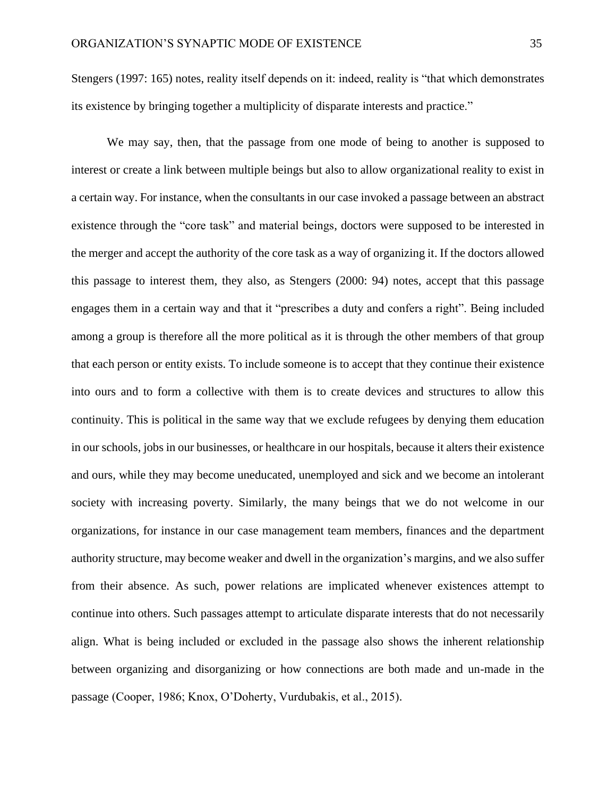Stengers (1997: 165) notes, reality itself depends on it: indeed, reality is "that which demonstrates its existence by bringing together a multiplicity of disparate interests and practice."

We may say, then, that the passage from one mode of being to another is supposed to interest or create a link between multiple beings but also to allow organizational reality to exist in a certain way. For instance, when the consultants in our case invoked a passage between an abstract existence through the "core task" and material beings, doctors were supposed to be interested in the merger and accept the authority of the core task as a way of organizing it. If the doctors allowed this passage to interest them, they also, as Stengers (2000: 94) notes, accept that this passage engages them in a certain way and that it "prescribes a duty and confers a right". Being included among a group is therefore all the more political as it is through the other members of that group that each person or entity exists. To include someone is to accept that they continue their existence into ours and to form a collective with them is to create devices and structures to allow this continuity. This is political in the same way that we exclude refugees by denying them education in our schools, jobs in our businesses, or healthcare in our hospitals, because it alters their existence and ours, while they may become uneducated, unemployed and sick and we become an intolerant society with increasing poverty. Similarly, the many beings that we do not welcome in our organizations, for instance in our case management team members, finances and the department authority structure, may become weaker and dwell in the organization's margins, and we also suffer from their absence. As such, power relations are implicated whenever existences attempt to continue into others. Such passages attempt to articulate disparate interests that do not necessarily align. What is being included or excluded in the passage also shows the inherent relationship between organizing and disorganizing or how connections are both made and un-made in the passage (Cooper, 1986; Knox, O'Doherty, Vurdubakis, et al., 2015).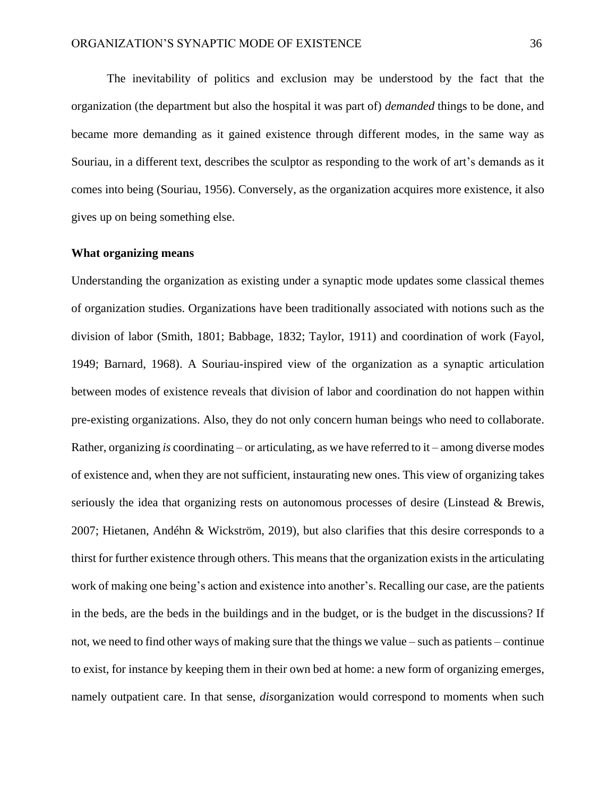The inevitability of politics and exclusion may be understood by the fact that the organization (the department but also the hospital it was part of) *demanded* things to be done, and became more demanding as it gained existence through different modes, in the same way as Souriau, in a different text, describes the sculptor as responding to the work of art's demands as it comes into being (Souriau, 1956). Conversely, as the organization acquires more existence, it also gives up on being something else.

## **What organizing means**

Understanding the organization as existing under a synaptic mode updates some classical themes of organization studies. Organizations have been traditionally associated with notions such as the division of labor (Smith, 1801; Babbage, 1832; Taylor, 1911) and coordination of work (Fayol, 1949; Barnard, 1968). A Souriau-inspired view of the organization as a synaptic articulation between modes of existence reveals that division of labor and coordination do not happen within pre-existing organizations. Also, they do not only concern human beings who need to collaborate. Rather, organizing *is* coordinating – or articulating, as we have referred to it – among diverse modes of existence and, when they are not sufficient, instaurating new ones. This view of organizing takes seriously the idea that organizing rests on autonomous processes of desire (Linstead & Brewis, 2007; Hietanen, Andéhn & Wickström, 2019), but also clarifies that this desire corresponds to a thirst for further existence through others. This means that the organization exists in the articulating work of making one being's action and existence into another's. Recalling our case, are the patients in the beds, are the beds in the buildings and in the budget, or is the budget in the discussions? If not, we need to find other ways of making sure that the things we value – such as patients – continue to exist, for instance by keeping them in their own bed at home: a new form of organizing emerges, namely outpatient care. In that sense, *dis*organization would correspond to moments when such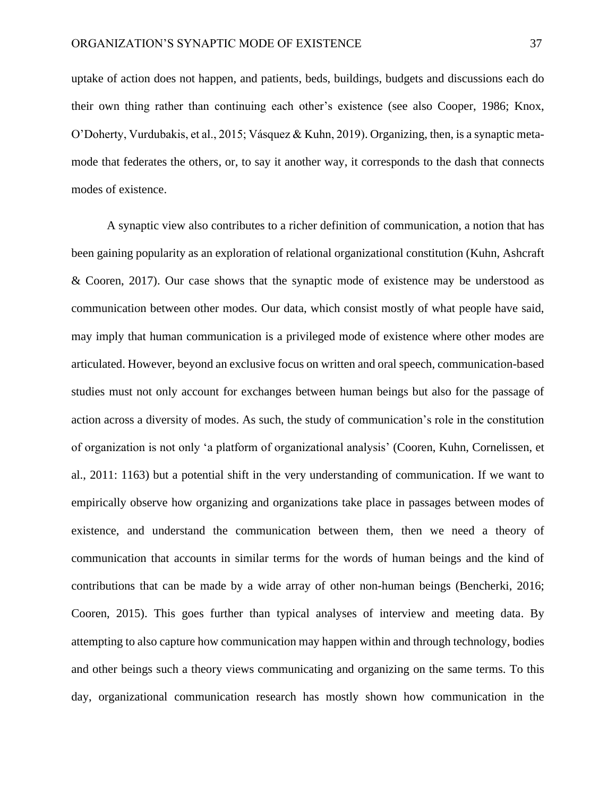uptake of action does not happen, and patients, beds, buildings, budgets and discussions each do their own thing rather than continuing each other's existence (see also Cooper, 1986; Knox, O'Doherty, Vurdubakis, et al., 2015; Vásquez & Kuhn, 2019). Organizing, then, is a synaptic metamode that federates the others, or, to say it another way, it corresponds to the dash that connects modes of existence.

A synaptic view also contributes to a richer definition of communication, a notion that has been gaining popularity as an exploration of relational organizational constitution (Kuhn, Ashcraft & Cooren, 2017). Our case shows that the synaptic mode of existence may be understood as communication between other modes. Our data, which consist mostly of what people have said, may imply that human communication is a privileged mode of existence where other modes are articulated. However, beyond an exclusive focus on written and oral speech, communication-based studies must not only account for exchanges between human beings but also for the passage of action across a diversity of modes. As such, the study of communication's role in the constitution of organization is not only 'a platform of organizational analysis' (Cooren, Kuhn, Cornelissen, et al., 2011: 1163) but a potential shift in the very understanding of communication. If we want to empirically observe how organizing and organizations take place in passages between modes of existence, and understand the communication between them, then we need a theory of communication that accounts in similar terms for the words of human beings and the kind of contributions that can be made by a wide array of other non-human beings (Bencherki, 2016; Cooren, 2015). This goes further than typical analyses of interview and meeting data. By attempting to also capture how communication may happen within and through technology, bodies and other beings such a theory views communicating and organizing on the same terms. To this day, organizational communication research has mostly shown how communication in the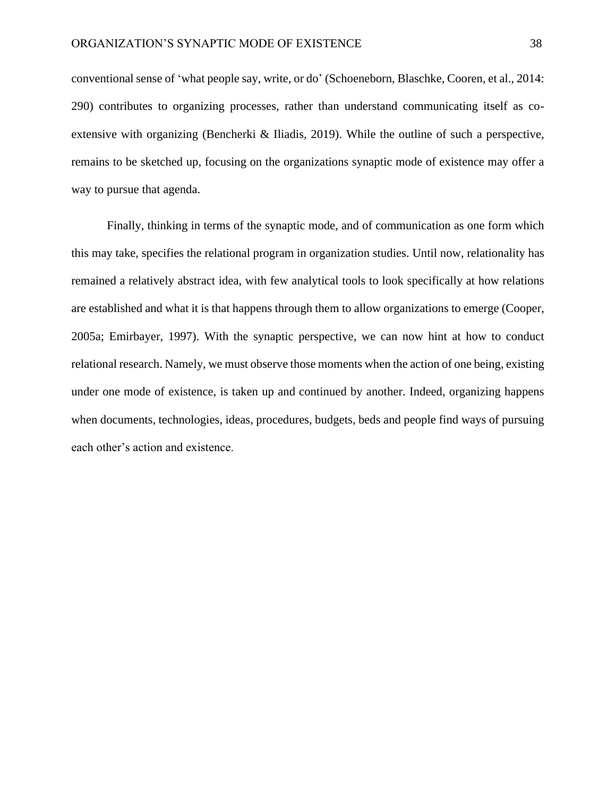conventional sense of 'what people say, write, or do' (Schoeneborn, Blaschke, Cooren, et al., 2014: 290) contributes to organizing processes, rather than understand communicating itself as coextensive with organizing (Bencherki & Iliadis, 2019). While the outline of such a perspective, remains to be sketched up, focusing on the organizations synaptic mode of existence may offer a way to pursue that agenda.

Finally, thinking in terms of the synaptic mode, and of communication as one form which this may take, specifies the relational program in organization studies. Until now, relationality has remained a relatively abstract idea, with few analytical tools to look specifically at how relations are established and what it is that happens through them to allow organizations to emerge (Cooper, 2005a; Emirbayer, 1997). With the synaptic perspective, we can now hint at how to conduct relational research. Namely, we must observe those moments when the action of one being, existing under one mode of existence, is taken up and continued by another. Indeed, organizing happens when documents, technologies, ideas, procedures, budgets, beds and people find ways of pursuing each other's action and existence.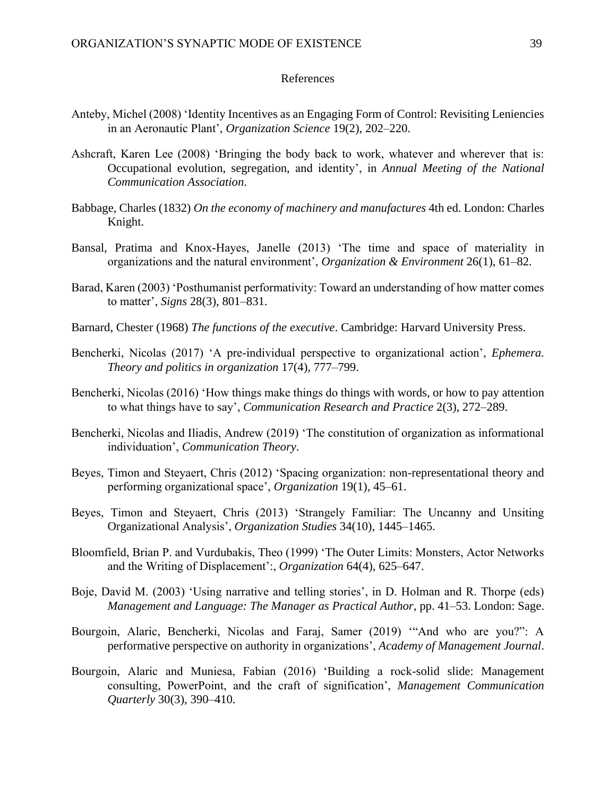## References

- Anteby, Michel (2008) 'Identity Incentives as an Engaging Form of Control: Revisiting Leniencies in an Aeronautic Plant', *Organization Science* 19(2), 202–220.
- Ashcraft, Karen Lee (2008) 'Bringing the body back to work, whatever and wherever that is: Occupational evolution, segregation, and identity', in *Annual Meeting of the National Communication Association*.
- Babbage, Charles (1832) *On the economy of machinery and manufactures* 4th ed. London: Charles Knight.
- Bansal, Pratima and Knox-Hayes, Janelle (2013) 'The time and space of materiality in organizations and the natural environment', *Organization & Environment* 26(1), 61–82.
- Barad, Karen (2003) 'Posthumanist performativity: Toward an understanding of how matter comes to matter', *Signs* 28(3), 801–831.
- Barnard, Chester (1968) *The functions of the executive*. Cambridge: Harvard University Press.
- Bencherki, Nicolas (2017) 'A pre-individual perspective to organizational action', *Ephemera. Theory and politics in organization* 17(4), 777–799.
- Bencherki, Nicolas (2016) 'How things make things do things with words, or how to pay attention to what things have to say', *Communication Research and Practice* 2(3), 272–289.
- Bencherki, Nicolas and Iliadis, Andrew (2019) 'The constitution of organization as informational individuation', *Communication Theory*.
- Beyes, Timon and Steyaert, Chris (2012) 'Spacing organization: non-representational theory and performing organizational space', *Organization* 19(1), 45–61.
- Beyes, Timon and Steyaert, Chris (2013) 'Strangely Familiar: The Uncanny and Unsiting Organizational Analysis', *Organization Studies* 34(10), 1445–1465.
- Bloomfield, Brian P. and Vurdubakis, Theo (1999) 'The Outer Limits: Monsters, Actor Networks and the Writing of Displacement':, *Organization* 64(4), 625–647.
- Boje, David M. (2003) 'Using narrative and telling stories', in D. Holman and R. Thorpe (eds) *Management and Language: The Manager as Practical Author*, pp. 41–53. London: Sage.
- Bourgoin, Alaric, Bencherki, Nicolas and Faraj, Samer (2019) '"And who are you?": A performative perspective on authority in organizations', *Academy of Management Journal*.
- Bourgoin, Alaric and Muniesa, Fabian (2016) 'Building a rock-solid slide: Management consulting, PowerPoint, and the craft of signification', *Management Communication Quarterly* 30(3), 390–410.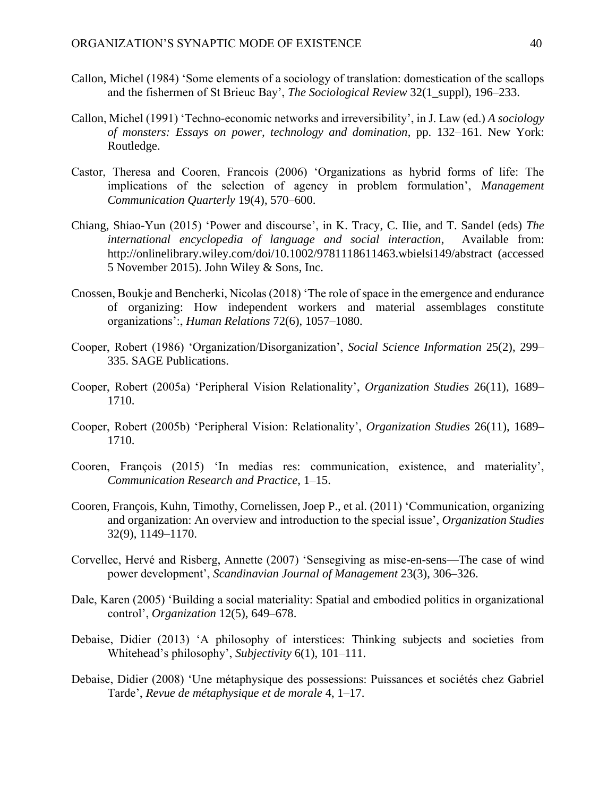- Callon, Michel (1984) 'Some elements of a sociology of translation: domestication of the scallops and the fishermen of St Brieuc Bay', *The Sociological Review* 32(1\_suppl), 196–233.
- Callon, Michel (1991) 'Techno-economic networks and irreversibility', in J. Law (ed.) *A sociology of monsters: Essays on power, technology and domination*, pp. 132–161. New York: Routledge.
- Castor, Theresa and Cooren, Francois (2006) 'Organizations as hybrid forms of life: The implications of the selection of agency in problem formulation', *Management Communication Quarterly* 19(4), 570–600.
- Chiang, Shiao-Yun (2015) 'Power and discourse', in K. Tracy, C. Ilie, and T. Sandel (eds) *The international encyclopedia of language and social interaction*, Available from: http://onlinelibrary.wiley.com/doi/10.1002/9781118611463.wbielsi149/abstract (accessed 5 November 2015). John Wiley & Sons, Inc.
- Cnossen, Boukje and Bencherki, Nicolas (2018) 'The role of space in the emergence and endurance of organizing: How independent workers and material assemblages constitute organizations':, *Human Relations* 72(6), 1057–1080.
- Cooper, Robert (1986) 'Organization/Disorganization', *Social Science Information* 25(2), 299– 335. SAGE Publications.
- Cooper, Robert (2005a) 'Peripheral Vision Relationality', *Organization Studies* 26(11), 1689– 1710.
- Cooper, Robert (2005b) 'Peripheral Vision: Relationality', *Organization Studies* 26(11), 1689– 1710.
- Cooren, François (2015) 'In medias res: communication, existence, and materiality', *Communication Research and Practice*, 1–15.
- Cooren, François, Kuhn, Timothy, Cornelissen, Joep P., et al. (2011) 'Communication, organizing and organization: An overview and introduction to the special issue', *Organization Studies* 32(9), 1149–1170.
- Corvellec, Hervé and Risberg, Annette (2007) 'Sensegiving as mise-en-sens—The case of wind power development', *Scandinavian Journal of Management* 23(3), 306–326.
- Dale, Karen (2005) 'Building a social materiality: Spatial and embodied politics in organizational control', *Organization* 12(5), 649–678.
- Debaise, Didier (2013) 'A philosophy of interstices: Thinking subjects and societies from Whitehead's philosophy', *Subjectivity* 6(1), 101–111.
- Debaise, Didier (2008) 'Une métaphysique des possessions: Puissances et sociétés chez Gabriel Tarde', *Revue de métaphysique et de morale* 4, 1–17.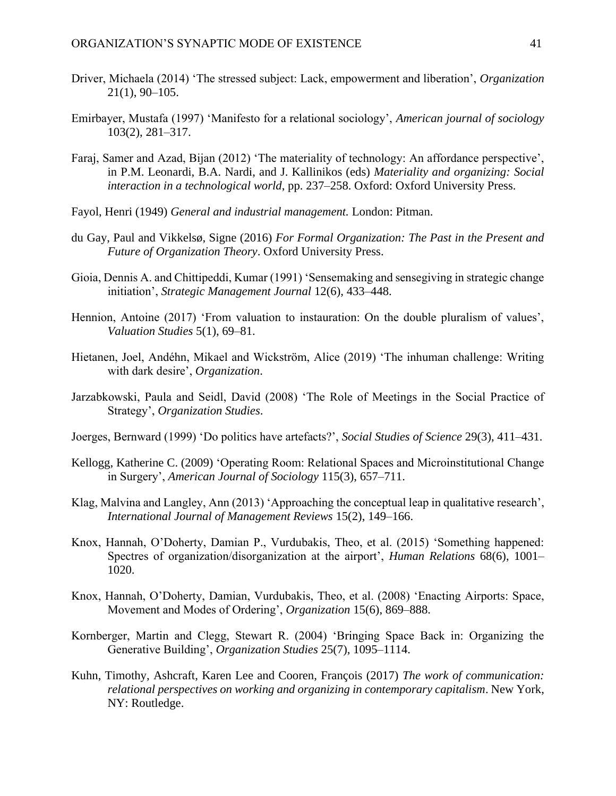- Driver, Michaela (2014) 'The stressed subject: Lack, empowerment and liberation', *Organization* 21(1), 90–105.
- Emirbayer, Mustafa (1997) 'Manifesto for a relational sociology', *American journal of sociology* 103(2), 281–317.
- Faraj, Samer and Azad, Bijan (2012) 'The materiality of technology: An affordance perspective', in P.M. Leonardi, B.A. Nardi, and J. Kallinikos (eds) *Materiality and organizing: Social interaction in a technological world*, pp. 237–258. Oxford: Oxford University Press.
- Fayol, Henri (1949) *General and industrial management.* London: Pitman.
- du Gay, Paul and Vikkelsø, Signe (2016) *For Formal Organization: The Past in the Present and Future of Organization Theory*. Oxford University Press.
- Gioia, Dennis A. and Chittipeddi, Kumar (1991) 'Sensemaking and sensegiving in strategic change initiation', *Strategic Management Journal* 12(6), 433–448.
- Hennion, Antoine (2017) 'From valuation to instauration: On the double pluralism of values', *Valuation Studies* 5(1), 69–81.
- Hietanen, Joel, Andéhn, Mikael and Wickström, Alice (2019) 'The inhuman challenge: Writing with dark desire', *Organization*.
- Jarzabkowski, Paula and Seidl, David (2008) 'The Role of Meetings in the Social Practice of Strategy', *Organization Studies*.
- Joerges, Bernward (1999) 'Do politics have artefacts?', *Social Studies of Science* 29(3), 411–431.
- Kellogg, Katherine C. (2009) 'Operating Room: Relational Spaces and Microinstitutional Change in Surgery', *American Journal of Sociology* 115(3), 657–711.
- Klag, Malvina and Langley, Ann (2013) 'Approaching the conceptual leap in qualitative research', *International Journal of Management Reviews* 15(2), 149–166.
- Knox, Hannah, O'Doherty, Damian P., Vurdubakis, Theo, et al. (2015) 'Something happened: Spectres of organization/disorganization at the airport', *Human Relations* 68(6), 1001– 1020.
- Knox, Hannah, O'Doherty, Damian, Vurdubakis, Theo, et al. (2008) 'Enacting Airports: Space, Movement and Modes of Ordering', *Organization* 15(6), 869–888.
- Kornberger, Martin and Clegg, Stewart R. (2004) 'Bringing Space Back in: Organizing the Generative Building', *Organization Studies* 25(7), 1095–1114.
- Kuhn, Timothy, Ashcraft, Karen Lee and Cooren, François (2017) *The work of communication: relational perspectives on working and organizing in contemporary capitalism*. New York, NY: Routledge.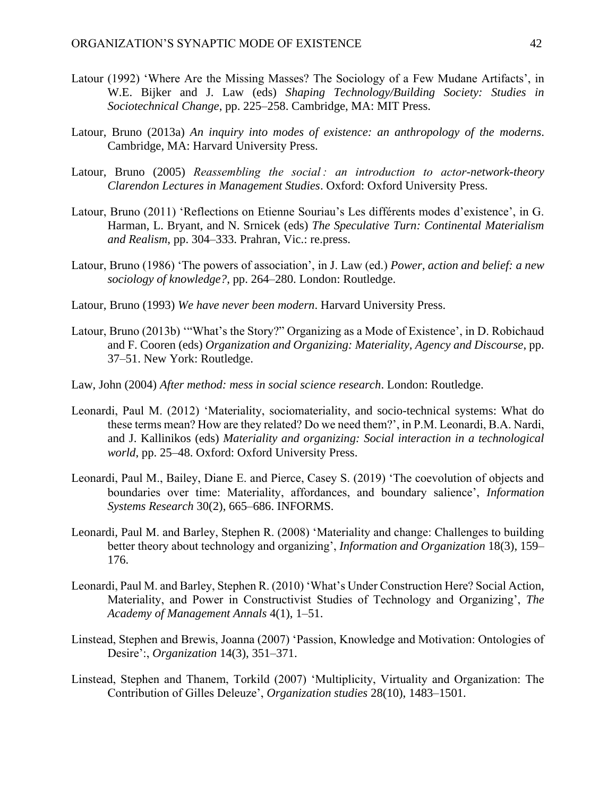- Latour (1992) 'Where Are the Missing Masses? The Sociology of a Few Mudane Artifacts', in W.E. Bijker and J. Law (eds) *Shaping Technology/Building Society: Studies in Sociotechnical Change*, pp. 225–258. Cambridge, MA: MIT Press.
- Latour, Bruno (2013a) *An inquiry into modes of existence: an anthropology of the moderns*. Cambridge, MA: Harvard University Press.
- Latour, Bruno (2005) *Reassembling the social : an introduction to actor-network-theory Clarendon Lectures in Management Studies*. Oxford: Oxford University Press.
- Latour, Bruno (2011) 'Reflections on Etienne Souriau's Les différents modes d'existence', in G. Harman, L. Bryant, and N. Srnicek (eds) *The Speculative Turn: Continental Materialism and Realism*, pp. 304–333. Prahran, Vic.: re.press.
- Latour, Bruno (1986) 'The powers of association', in J. Law (ed.) *Power, action and belief: a new sociology of knowledge?*, pp. 264–280. London: Routledge.
- Latour, Bruno (1993) *We have never been modern*. Harvard University Press.
- Latour, Bruno (2013b) '"What's the Story?" Organizing as a Mode of Existence', in D. Robichaud and F. Cooren (eds) *Organization and Organizing: Materiality, Agency and Discourse*, pp. 37–51. New York: Routledge.
- Law, John (2004) *After method: mess in social science research*. London: Routledge.
- Leonardi, Paul M. (2012) 'Materiality, sociomateriality, and socio-technical systems: What do these terms mean? How are they related? Do we need them?', in P.M. Leonardi, B.A. Nardi, and J. Kallinikos (eds) *Materiality and organizing: Social interaction in a technological world*, pp. 25–48. Oxford: Oxford University Press.
- Leonardi, Paul M., Bailey, Diane E. and Pierce, Casey S. (2019) 'The coevolution of objects and boundaries over time: Materiality, affordances, and boundary salience', *Information Systems Research* 30(2), 665–686. INFORMS.
- Leonardi, Paul M. and Barley, Stephen R. (2008) 'Materiality and change: Challenges to building better theory about technology and organizing', *Information and Organization* 18(3), 159– 176.
- Leonardi, Paul M. and Barley, Stephen R. (2010) 'What's Under Construction Here? Social Action, Materiality, and Power in Constructivist Studies of Technology and Organizing', *The Academy of Management Annals* 4(1), 1–51.
- Linstead, Stephen and Brewis, Joanna (2007) 'Passion, Knowledge and Motivation: Ontologies of Desire':, *Organization* 14(3), 351–371.
- Linstead, Stephen and Thanem, Torkild (2007) 'Multiplicity, Virtuality and Organization: The Contribution of Gilles Deleuze', *Organization studies* 28(10), 1483–1501.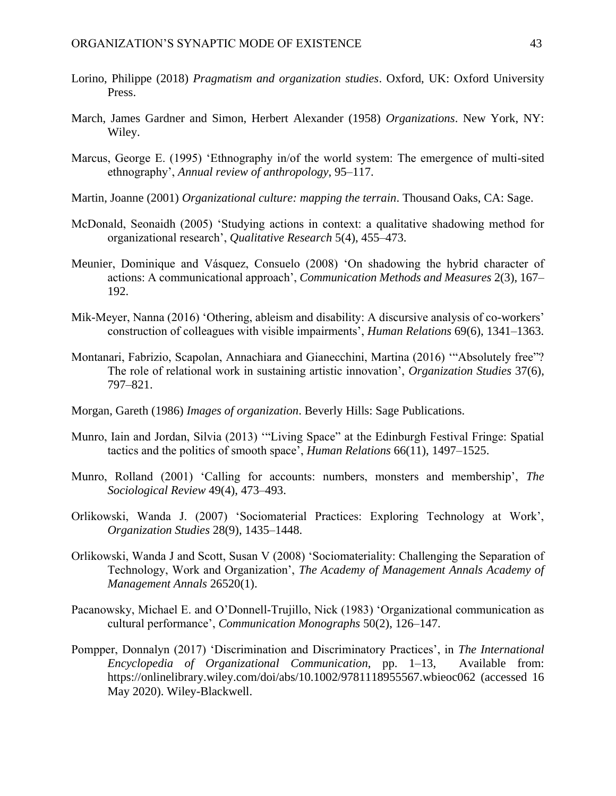- Lorino, Philippe (2018) *Pragmatism and organization studies*. Oxford, UK: Oxford University Press.
- March, James Gardner and Simon, Herbert Alexander (1958) *Organizations*. New York, NY: Wiley.
- Marcus, George E. (1995) 'Ethnography in/of the world system: The emergence of multi-sited ethnography', *Annual review of anthropology*, 95–117.
- Martin, Joanne (2001) *Organizational culture: mapping the terrain*. Thousand Oaks, CA: Sage.
- McDonald, Seonaidh (2005) 'Studying actions in context: a qualitative shadowing method for organizational research', *Qualitative Research* 5(4), 455–473.
- Meunier, Dominique and Vásquez, Consuelo (2008) 'On shadowing the hybrid character of actions: A communicational approach', *Communication Methods and Measures* 2(3), 167– 192.
- Mik-Meyer, Nanna (2016) 'Othering, ableism and disability: A discursive analysis of co-workers' construction of colleagues with visible impairments', *Human Relations* 69(6), 1341–1363.
- Montanari, Fabrizio, Scapolan, Annachiara and Gianecchini, Martina (2016) '"Absolutely free"? The role of relational work in sustaining artistic innovation', *Organization Studies* 37(6), 797–821.
- Morgan, Gareth (1986) *Images of organization*. Beverly Hills: Sage Publications.
- Munro, Iain and Jordan, Silvia (2013) '"Living Space" at the Edinburgh Festival Fringe: Spatial tactics and the politics of smooth space', *Human Relations* 66(11), 1497–1525.
- Munro, Rolland (2001) 'Calling for accounts: numbers, monsters and membership', *The Sociological Review* 49(4), 473–493.
- Orlikowski, Wanda J. (2007) 'Sociomaterial Practices: Exploring Technology at Work', *Organization Studies* 28(9), 1435–1448.
- Orlikowski, Wanda J and Scott, Susan V (2008) 'Sociomateriality: Challenging the Separation of Technology, Work and Organization', *The Academy of Management Annals Academy of Management Annals* 26520(1).
- Pacanowsky, Michael E. and O'Donnell‐Trujillo, Nick (1983) 'Organizational communication as cultural performance', *Communication Monographs* 50(2), 126–147.
- Pompper, Donnalyn (2017) 'Discrimination and Discriminatory Practices', in *The International Encyclopedia of Organizational Communication*, pp. 1–13, Available from: https://onlinelibrary.wiley.com/doi/abs/10.1002/9781118955567.wbieoc062 (accessed 16 May 2020). Wiley-Blackwell.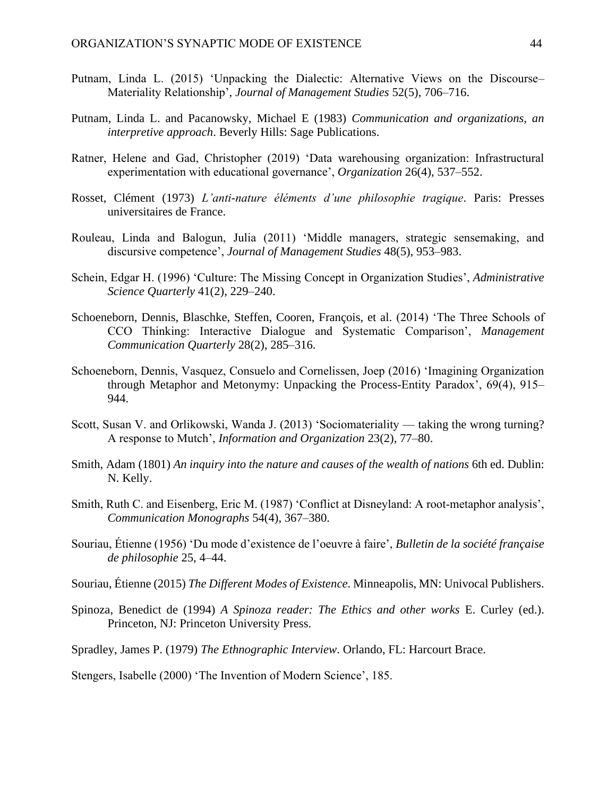- Putnam, Linda L. (2015) 'Unpacking the Dialectic: Alternative Views on the Discourse– Materiality Relationship', *Journal of Management Studies* 52(5), 706–716.
- Putnam, Linda L. and Pacanowsky, Michael E (1983) *Communication and organizations, an interpretive approach*. Beverly Hills: Sage Publications.
- Ratner, Helene and Gad, Christopher (2019) 'Data warehousing organization: Infrastructural experimentation with educational governance', *Organization* 26(4), 537–552.
- Rosset, Clément (1973) *L'anti-nature éléments d'une philosophie tragique*. Paris: Presses universitaires de France.
- Rouleau, Linda and Balogun, Julia (2011) 'Middle managers, strategic sensemaking, and discursive competence', *Journal of Management Studies* 48(5), 953–983.
- Schein, Edgar H. (1996) 'Culture: The Missing Concept in Organization Studies', *Administrative Science Quarterly* 41(2), 229–240.
- Schoeneborn, Dennis, Blaschke, Steffen, Cooren, François, et al. (2014) 'The Three Schools of CCO Thinking: Interactive Dialogue and Systematic Comparison', *Management Communication Quarterly* 28(2), 285–316.
- Schoeneborn, Dennis, Vasquez, Consuelo and Cornelissen, Joep (2016) 'Imagining Organization through Metaphor and Metonymy: Unpacking the Process-Entity Paradox', 69(4), 915– 944.
- Scott, Susan V. and Orlikowski, Wanda J. (2013) 'Sociomateriality taking the wrong turning? A response to Mutch', *Information and Organization* 23(2), 77–80.
- Smith, Adam (1801) *An inquiry into the nature and causes of the wealth of nations* 6th ed. Dublin: N. Kelly.
- Smith, Ruth C. and Eisenberg, Eric M. (1987) 'Conflict at Disneyland: A root‐metaphor analysis', *Communication Monographs* 54(4), 367–380.
- Souriau, Étienne (1956) 'Du mode d'existence de l'oeuvre à faire', *Bulletin de la société française de philosophie* 25, 4–44.
- Souriau, Étienne (2015) *The Different Modes of Existence*. Minneapolis, MN: Univocal Publishers.
- Spinoza, Benedict de (1994) *A Spinoza reader: The Ethics and other works* E. Curley (ed.). Princeton, NJ: Princeton University Press.
- Spradley, James P. (1979) *The Ethnographic Interview*. Orlando, FL: Harcourt Brace.
- Stengers, Isabelle (2000) 'The Invention of Modern Science', 185.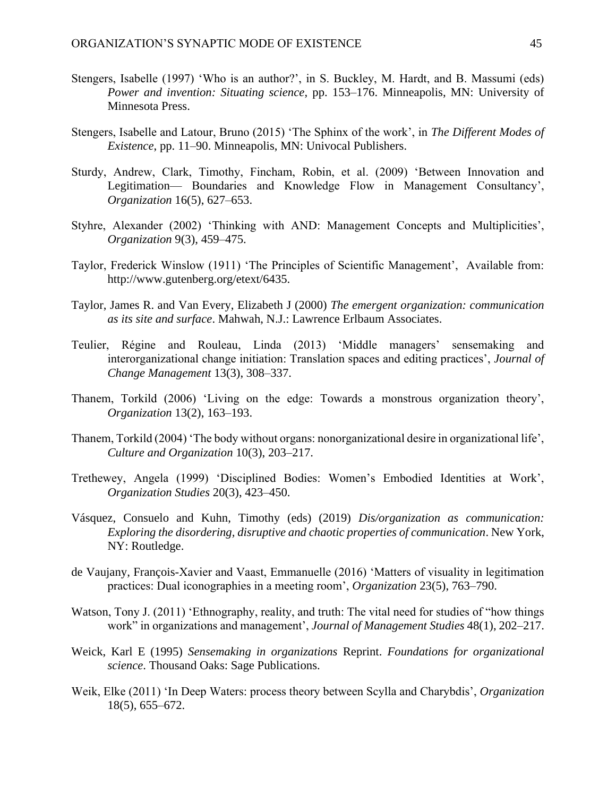- Stengers, Isabelle (1997) 'Who is an author?', in S. Buckley, M. Hardt, and B. Massumi (eds) *Power and invention: Situating science*, pp. 153–176. Minneapolis, MN: University of Minnesota Press.
- Stengers, Isabelle and Latour, Bruno (2015) 'The Sphinx of the work', in *The Different Modes of Existence*, pp. 11–90. Minneapolis, MN: Univocal Publishers.
- Sturdy, Andrew, Clark, Timothy, Fincham, Robin, et al. (2009) 'Between Innovation and Legitimation— Boundaries and Knowledge Flow in Management Consultancy', *Organization* 16(5), 627–653.
- Styhre, Alexander (2002) 'Thinking with AND: Management Concepts and Multiplicities', *Organization* 9(3), 459–475.
- Taylor, Frederick Winslow (1911) 'The Principles of Scientific Management', Available from: http://www.gutenberg.org/etext/6435.
- Taylor, James R. and Van Every, Elizabeth J (2000) *The emergent organization: communication as its site and surface*. Mahwah, N.J.: Lawrence Erlbaum Associates.
- Teulier, Régine and Rouleau, Linda (2013) 'Middle managers' sensemaking and interorganizational change initiation: Translation spaces and editing practices', *Journal of Change Management* 13(3), 308–337.
- Thanem, Torkild (2006) 'Living on the edge: Towards a monstrous organization theory', *Organization* 13(2), 163–193.
- Thanem, Torkild (2004) 'The body without organs: nonorganizational desire in organizational life', *Culture and Organization* 10(3), 203–217.
- Trethewey, Angela (1999) 'Disciplined Bodies: Women's Embodied Identities at Work', *Organization Studies* 20(3), 423–450.
- Vásquez, Consuelo and Kuhn, Timothy (eds) (2019) *Dis/organization as communication: Exploring the disordering, disruptive and chaotic properties of communication*. New York, NY: Routledge.
- de Vaujany, François-Xavier and Vaast, Emmanuelle (2016) 'Matters of visuality in legitimation practices: Dual iconographies in a meeting room', *Organization* 23(5), 763–790.
- Watson, Tony J. (2011) 'Ethnography, reality, and truth: The vital need for studies of "how things work" in organizations and management', *Journal of Management Studies* 48(1), 202–217.
- Weick, Karl E (1995) *Sensemaking in organizations* Reprint. *Foundations for organizational science*. Thousand Oaks: Sage Publications.
- Weik, Elke (2011) 'In Deep Waters: process theory between Scylla and Charybdis', *Organization* 18(5), 655–672.